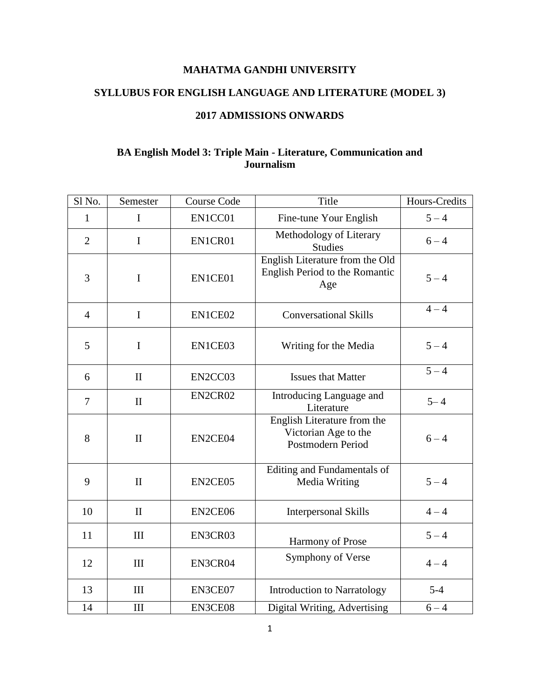# **SYLLUBUS FOR ENGLISH LANGUAGE AND LITERATURE (MODEL 3)**

### **2017 ADMISSIONS ONWARDS**

# **BA English Model 3: Triple Main - Literature, Communication and Journalism**

| Sl <sub>No.</sub> | Semester     | <b>Course Code</b> | Title                                                                    | <b>Hours-Credits</b> |
|-------------------|--------------|--------------------|--------------------------------------------------------------------------|----------------------|
| 1                 | $\mathbf I$  | EN1CC01            | Fine-tune Your English                                                   | $5 - 4$              |
| $\overline{2}$    | $\mathbf I$  | EN1CR01            | Methodology of Literary<br><b>Studies</b>                                | $6 - 4$              |
| 3                 | I            | EN1CE01            | English Literature from the Old<br>English Period to the Romantic<br>Age | $5 - 4$              |
| $\overline{4}$    | $\mathbf I$  | EN1CE02            | <b>Conversational Skills</b>                                             | $4 - 4$              |
| 5                 | I            | EN1CE03            | Writing for the Media                                                    | $5 - 4$              |
| 6                 | $\mathbf{I}$ | EN2CC03            | <b>Issues that Matter</b>                                                | $5 - 4$              |
| $\overline{7}$    | $\mathbf{I}$ | EN2CR02            | Introducing Language and<br>Literature                                   | $5 - 4$              |
| 8                 | $\mathbf{I}$ | EN2CE04            | English Literature from the<br>Victorian Age to the<br>Postmodern Period | $6 - 4$              |
| 9                 | $\mathbf{I}$ | EN2CE05            | Editing and Fundamentals of<br>Media Writing                             | $5 - 4$              |
| 10                | $\mathbf{I}$ | EN2CE06            | <b>Interpersonal Skills</b>                                              | $4 - 4$              |
| 11                | III          | EN3CR03            | Harmony of Prose                                                         | $5 - 4$              |
| 12                | III          | EN3CR04            | Symphony of Verse                                                        | $4 - 4$              |
| 13                | III          | EN3CE07            | <b>Introduction to Narratology</b>                                       | $5 - 4$              |
| 14                | III          | EN3CE08            | Digital Writing, Advertising                                             | $6 - 4$              |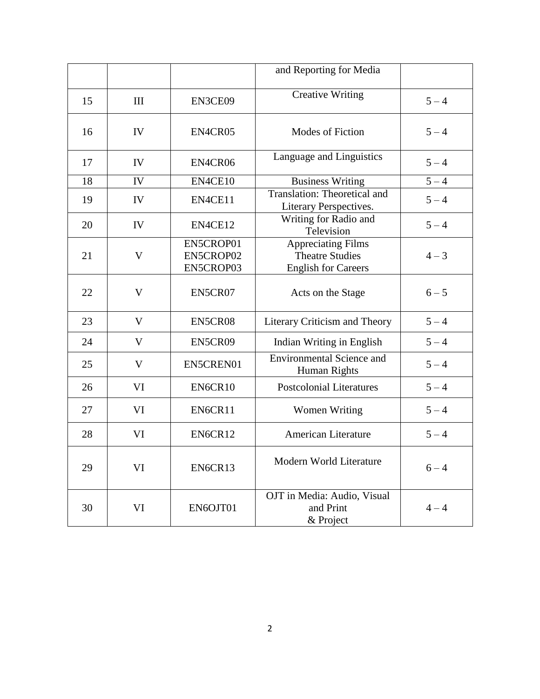|    |              |                                     | and Reporting for Media                                                           |         |
|----|--------------|-------------------------------------|-----------------------------------------------------------------------------------|---------|
| 15 | Ш            | EN3CE09                             | <b>Creative Writing</b>                                                           | $5 - 4$ |
| 16 | IV           | EN4CR05                             | Modes of Fiction                                                                  | $5 - 4$ |
| 17 | IV           | EN4CR06                             | Language and Linguistics                                                          | $5 - 4$ |
| 18 | IV           | EN4CE10                             | <b>Business Writing</b>                                                           | $5 - 4$ |
| 19 | IV           | EN4CE11                             | Translation: Theoretical and<br>Literary Perspectives.                            | $5 - 4$ |
| 20 | IV           | EN4CE12                             | Writing for Radio and<br>Television                                               | $5 - 4$ |
| 21 | $\mathbf{V}$ | EN5CROP01<br>EN5CROP02<br>EN5CROP03 | <b>Appreciating Films</b><br><b>Theatre Studies</b><br><b>English for Careers</b> | $4 - 3$ |
| 22 | V            | EN5CR07                             | Acts on the Stage                                                                 | $6 - 5$ |
| 23 | V            | EN5CR08                             | Literary Criticism and Theory                                                     | $5 - 4$ |
| 24 | V            | EN5CR09                             | Indian Writing in English                                                         | $5 - 4$ |
| 25 | V            | EN5CREN01                           | <b>Environmental Science and</b><br>Human Rights                                  | $5 - 4$ |
| 26 | VI           | EN6CR10                             | <b>Postcolonial Literatures</b>                                                   | $5 - 4$ |
| 27 | VI           | EN6CR11                             | <b>Women Writing</b>                                                              | $5 - 4$ |
| 28 | VI           | EN6CR12                             | <b>American Literature</b>                                                        | $5 - 4$ |
| 29 | VI           | EN6CR13                             | Modern World Literature                                                           | $6 - 4$ |
| 30 | VI           | EN6OJT01                            | OJT in Media: Audio, Visual<br>and Print<br>& Project                             | $4 - 4$ |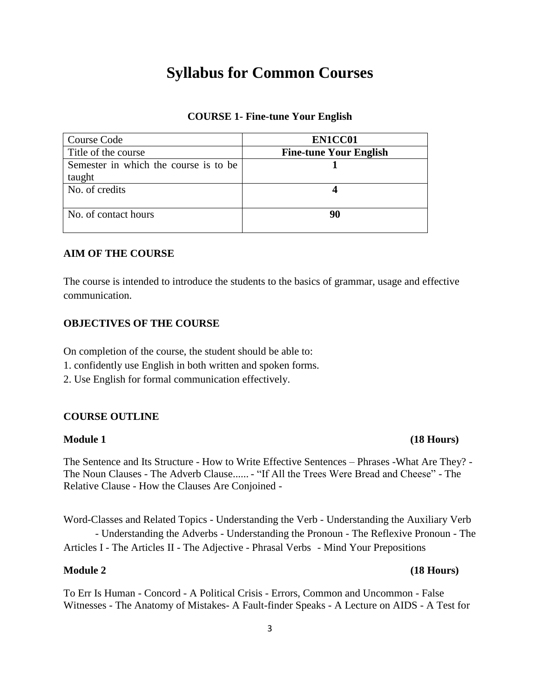# **Syllabus for Common Courses**

### **COURSE 1- Fine-tune Your English**

| Course Code                           | EN1CC01                       |
|---------------------------------------|-------------------------------|
| Title of the course                   | <b>Fine-tune Your English</b> |
| Semester in which the course is to be |                               |
| taught                                |                               |
| No. of credits                        |                               |
|                                       |                               |
| No. of contact hours                  | 90                            |
|                                       |                               |

# **AIM OF THE COURSE**

The course is intended to introduce the students to the basics of grammar, usage and effective communication.

#### **OBJECTIVES OF THE COURSE**

On completion of the course, the student should be able to:

- 1. confidently use English in both written and spoken forms.
- 2. Use English for formal communication effectively.

#### **COURSE OUTLINE**

#### **Module 1 (18 Hours)**

The Sentence and Its Structure - How to Write Effective Sentences – Phrases -What Are They? - The Noun Clauses - The Adverb Clause...... - "If All the Trees Were Bread and Cheese" - The Relative Clause - How the Clauses Are Conjoined -

Word-Classes and Related Topics - Understanding the Verb - Understanding the Auxiliary Verb - Understanding the Adverbs - Understanding the Pronoun - The Reflexive Pronoun - The Articles I - The Articles II - The Adjective - Phrasal Verbs - Mind Your Prepositions

To Err Is Human - Concord - A Political Crisis - Errors, Common and Uncommon - False Witnesses - The Anatomy of Mistakes- A Fault-finder Speaks - A Lecture on AIDS - A Test for

#### **Module 2 (18 Hours)**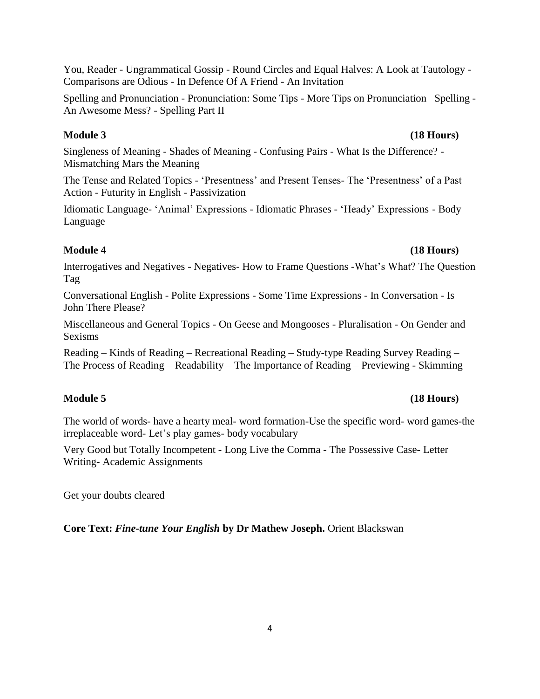You, Reader - Ungrammatical Gossip - Round Circles and Equal Halves: A Look at Tautology - Comparisons are Odious - In Defence Of A Friend - An Invitation

Spelling and Pronunciation - Pronunciation: Some Tips - More Tips on Pronunciation –Spelling - An Awesome Mess? - Spelling Part II

# **Module 3 (18 Hours)**

Singleness of Meaning - Shades of Meaning - Confusing Pairs - What Is the Difference? - Mismatching Mars the Meaning

The Tense and Related Topics - 'Presentness' and Present Tenses- The 'Presentness' of a Past Action - Futurity in English - Passivization

Idiomatic Language- ‗Animal' Expressions - Idiomatic Phrases - ‗Heady' Expressions - Body Language

# **Module 4 (18 Hours)**

Interrogatives and Negatives - Negatives- How to Frame Questions -What's What? The Question Tag

Conversational English - Polite Expressions - Some Time Expressions - In Conversation - Is John There Please?

Miscellaneous and General Topics - On Geese and Mongooses - Pluralisation - On Gender and Sexisms

Reading – Kinds of Reading – Recreational Reading – Study-type Reading Survey Reading – The Process of Reading – Readability – The Importance of Reading – Previewing - Skimming

# The world of words- have a hearty meal- word formation-Use the specific word- word games-the irreplaceable word- Let's play games- body vocabulary

Very Good but Totally Incompetent - Long Live the Comma - The Possessive Case- Letter Writing- Academic Assignments

Get your doubts cleared

**Core Text:** *Fine-tune Your English* **by Dr Mathew Joseph.** Orient Blackswan

# **Module 5 (18 Hours)**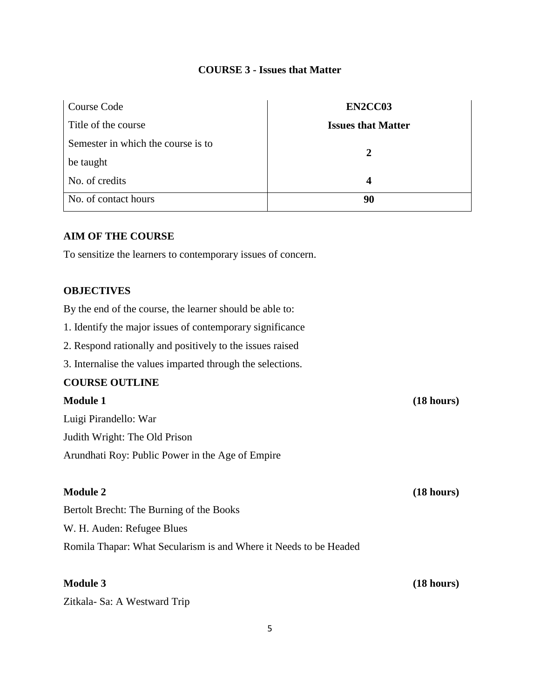# **COURSE 3 - Issues that Matter**

| Course Code                        | EN2CC03                   |
|------------------------------------|---------------------------|
| Title of the course                | <b>Issues that Matter</b> |
| Semester in which the course is to | $\mathbf{2}$              |
| be taught                          |                           |
| No. of credits                     | $\boldsymbol{4}$          |
| No. of contact hours               | 90                        |

### **AIM OF THE COURSE**

To sensitize the learners to contemporary issues of concern.

## **OBJECTIVES**

By the end of the course, the learner should be able to:

- 1. Identify the major issues of contemporary significance
- 2. Respond rationally and positively to the issues raised
- 3. Internalise the values imparted through the selections.

### **COURSE OUTLINE**

# **Module 1 (18 hours)** Luigi Pirandello: War Judith Wright: The Old Prison Arundhati Roy: Public Power in the Age of Empire **Module 2** (18 hours) Bertolt Brecht: The Burning of the Books W. H. Auden: Refugee Blues Romila Thapar: What Secularism is and Where it Needs to be Headed

**Module 3** (18 hours)

Zitkala- Sa: A Westward Trip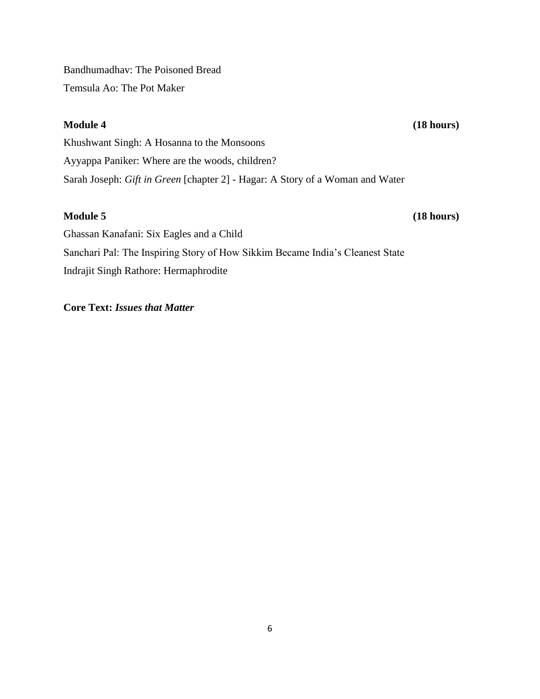Bandhumadhav: The Poisoned Bread Temsula Ao: The Pot Maker

**Module 4** (18 hours)

Khushwant Singh: A Hosanna to the Monsoons Ayyappa Paniker: Where are the woods, children? Sarah Joseph: *Gift in Green* [chapter 2] - Hagar: A Story of a Woman and Water

# **Module 5 (18 hours)**

Ghassan Kanafani: Six Eagles and a Child Sanchari Pal: The Inspiring Story of How Sikkim Became India's Cleanest State Indrajit Singh Rathore: Hermaphrodite

# **Core Text:** *Issues that Matter*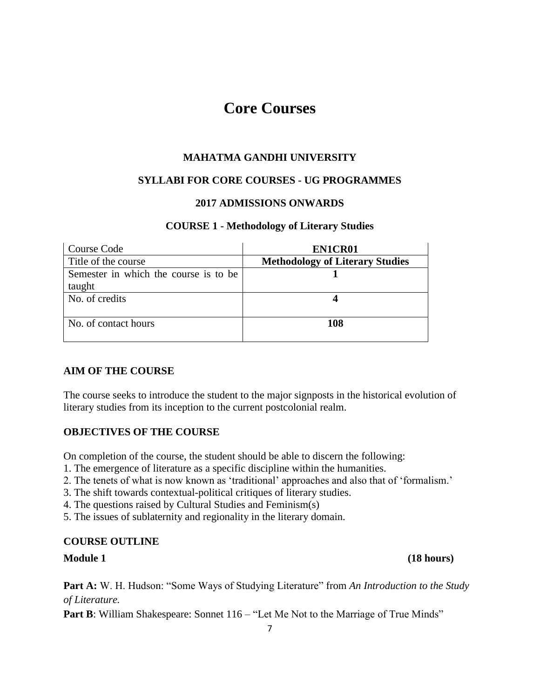# **Core Courses**

# **MAHATMA GANDHI UNIVERSITY**

# **SYLLABI FOR CORE COURSES - UG PROGRAMMES**

# **2017 ADMISSIONS ONWARDS**

# **COURSE 1 - Methodology of Literary Studies**

| Course Code                           | EN1CR01                                |
|---------------------------------------|----------------------------------------|
| Title of the course                   | <b>Methodology of Literary Studies</b> |
| Semester in which the course is to be |                                        |
| taught                                |                                        |
| No. of credits                        |                                        |
|                                       |                                        |
| No. of contact hours                  | 108                                    |
|                                       |                                        |

# **AIM OF THE COURSE**

The course seeks to introduce the student to the major signposts in the historical evolution of literary studies from its inception to the current postcolonial realm.

# **OBJECTIVES OF THE COURSE**

On completion of the course, the student should be able to discern the following:

- 1. The emergence of literature as a specific discipline within the humanities.
- 2. The tenets of what is now known as 'traditional' approaches and also that of 'formalism.'
- 3. The shift towards contextual-political critiques of literary studies.
- 4. The questions raised by Cultural Studies and Feminism(s)
- 5. The issues of sublaternity and regionality in the literary domain.

# **COURSE OUTLINE**

**Part A:** W. H. Hudson: "Some Ways of Studying Literature" from An Introduction to the Study *of Literature.*

**Part B**: William Shakespeare: Sonnet 116 – "Let Me Not to the Marriage of True Minds"

**Module 1** (18 hours)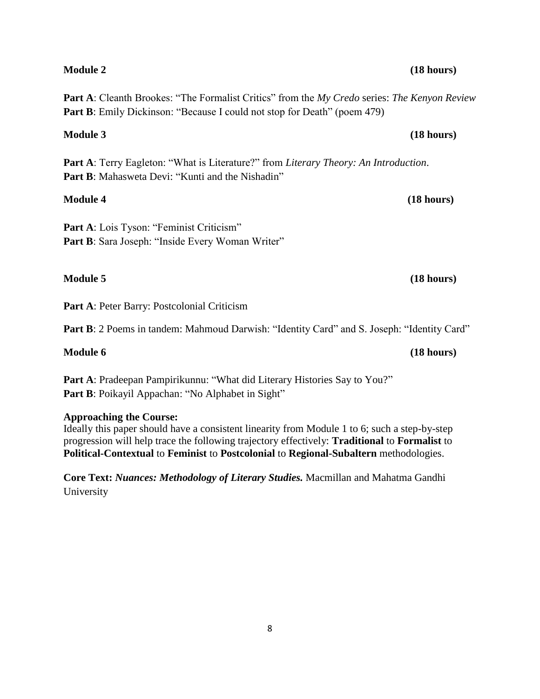# **Module 2 (18 hours)**

Part A: Cleanth Brookes: "The Formalist Critics" from the *My Credo series: The Kenyon Review* **Part B**: Emily Dickinson: "Because I could not stop for Death" (poem 479)

Part A: Terry Eagleton: "What is Literature?" from *Literary Theory: An Introduction*. **Part B:** Mahasweta Devi: "Kunti and the Nishadin"

Part A: Lois Tyson: "Feminist Criticism" Part B: Sara Joseph: "Inside Every Woman Writer"

# **Module 5 (18 hours)**

**Part A**: Peter Barry: Postcolonial Criticism

Part B: 2 Poems in tandem: Mahmoud Darwish: "Identity Card" and S. Joseph: "Identity Card"

# **Module 6** (18 hours)

Part A: Pradeepan Pampirikunnu: "What did Literary Histories Say to You?" **Part B**: Poikayil Appachan: "No Alphabet in Sight"

# **Approaching the Course:**

Ideally this paper should have a consistent linearity from Module 1 to 6; such a step-by-step progression will help trace the following trajectory effectively: **Traditional** to **Formalist** to **Political-Contextual** to **Feminist** to **Postcolonial** to **Regional-Subaltern** methodologies.

**Core Text:** *Nuances: Methodology of Literary Studies.* Macmillan and Mahatma Gandhi University

# **Module 3 (18 hours)**

**Module 4 (18 hours)**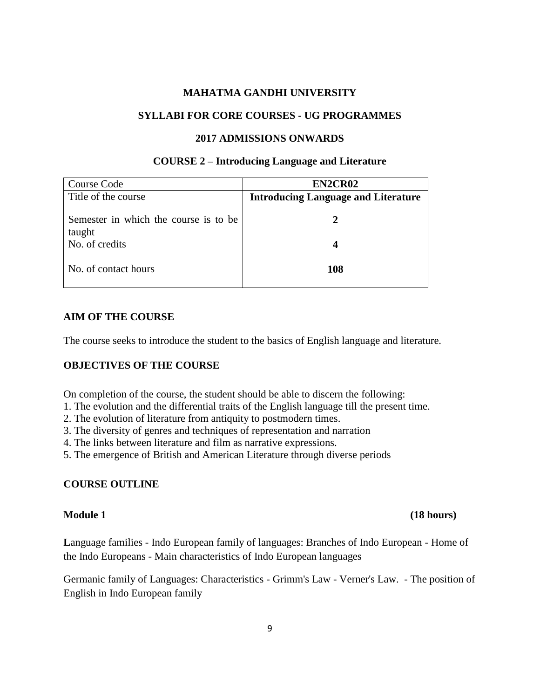### **SYLLABI FOR CORE COURSES - UG PROGRAMMES**

#### **2017 ADMISSIONS ONWARDS**

### **COURSE 2 – Introducing Language and Literature**

| Course Code<br>Title of the course              | EN2CR02<br><b>Introducing Language and Literature</b> |
|-------------------------------------------------|-------------------------------------------------------|
| Semester in which the course is to be<br>taught |                                                       |
| No. of credits                                  |                                                       |
| No. of contact hours                            | 108                                                   |

### **AIM OF THE COURSE**

The course seeks to introduce the student to the basics of English language and literature.

# **OBJECTIVES OF THE COURSE**

On completion of the course, the student should be able to discern the following:

- 1. The evolution and the differential traits of the English language till the present time.
- 2. The evolution of literature from antiquity to postmodern times.
- 3. The diversity of genres and techniques of representation and narration
- 4. The links between literature and film as narrative expressions.
- 5. The emergence of British and American Literature through diverse periods

#### **COURSE OUTLINE**

## **Module 1** (18 hours)

**L**anguage families - Indo European family of languages: Branches of Indo European - Home of the Indo Europeans - Main characteristics of Indo European languages

Germanic family of Languages: Characteristics - Grimm's Law - Verner's Law. - The position of English in Indo European family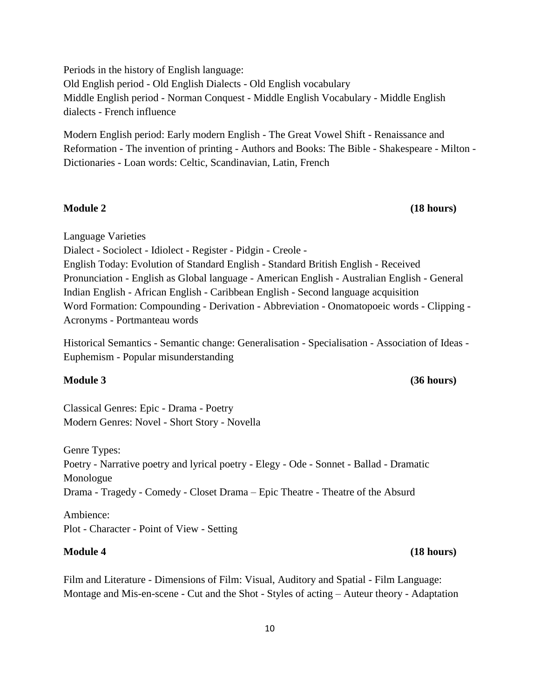Periods in the history of English language: Old English period - Old English Dialects - Old English vocabulary Middle English period - Norman Conquest - Middle English Vocabulary - Middle English dialects - French influence

Modern English period: Early modern English - The Great Vowel Shift - Renaissance and Reformation - The invention of printing - Authors and Books: The Bible - Shakespeare - Milton - Dictionaries - Loan words: Celtic, Scandinavian, Latin, French

#### **Module 2 (18 hours)**

Language Varieties

Dialect - Sociolect - Idiolect - Register - Pidgin - Creole -

English Today: Evolution of Standard English - Standard British English - Received Pronunciation - English as Global language - American English - Australian English - General Indian English - African English - Caribbean English - Second language acquisition Word Formation: Compounding - Derivation - Abbreviation - Onomatopoeic words - Clipping - Acronyms - Portmanteau words

Historical Semantics - Semantic change: Generalisation - Specialisation - Association of Ideas - Euphemism - Popular misunderstanding

**Module 3 (36 hours)**

Classical Genres: Epic - Drama - Poetry Modern Genres: Novel - Short Story - Novella

Genre Types: Poetry - Narrative poetry and lyrical poetry - Elegy - Ode - Sonnet - Ballad - Dramatic Monologue Drama - Tragedy - Comedy - Closet Drama – Epic Theatre - Theatre of the Absurd

Ambience: Plot - Character - Point of View - Setting

#### **Module 4 (18 hours)**

Film and Literature - Dimensions of Film: Visual, Auditory and Spatial - Film Language: Montage and Mis-en-scene - Cut and the Shot - Styles of acting – Auteur theory - Adaptation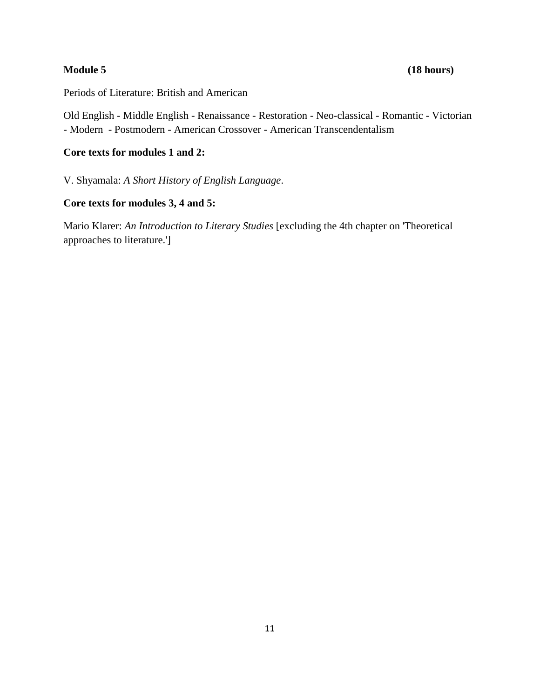Periods of Literature: British and American

Old English - Middle English - Renaissance - Restoration - Neo-classical - Romantic - Victorian - Modern - Postmodern - American Crossover - American Transcendentalism

# **Core texts for modules 1 and 2:**

V. Shyamala: *A Short History of English Language*.

### **Core texts for modules 3, 4 and 5:**

Mario Klarer: *An Introduction to Literary Studies* [excluding the 4th chapter on 'Theoretical approaches to literature.']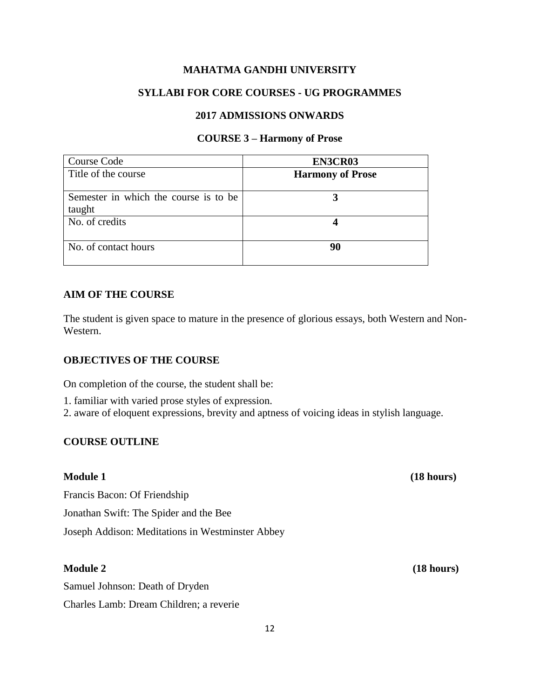# **SYLLABI FOR CORE COURSES - UG PROGRAMMES**

### **2017 ADMISSIONS ONWARDS**

#### **COURSE 3 – Harmony of Prose**

| Course Code                           | EN3CR03                 |
|---------------------------------------|-------------------------|
| Title of the course                   | <b>Harmony of Prose</b> |
| Semester in which the course is to be |                         |
| taught                                |                         |
| No. of credits                        |                         |
|                                       |                         |
| No. of contact hours                  | 90                      |
|                                       |                         |

# **AIM OF THE COURSE**

The student is given space to mature in the presence of glorious essays, both Western and Non-Western.

# **OBJECTIVES OF THE COURSE**

On completion of the course, the student shall be:

1. familiar with varied prose styles of expression.

2. aware of eloquent expressions, brevity and aptness of voicing ideas in stylish language.

# **COURSE OUTLINE**

Francis Bacon: Of Friendship Jonathan Swift: The Spider and the Bee Joseph Addison: Meditations in Westminster Abbey

# **Module 2 (18 hours)**

Samuel Johnson: Death of Dryden Charles Lamb: Dream Children; a reverie

**Module 1 (18 hours)**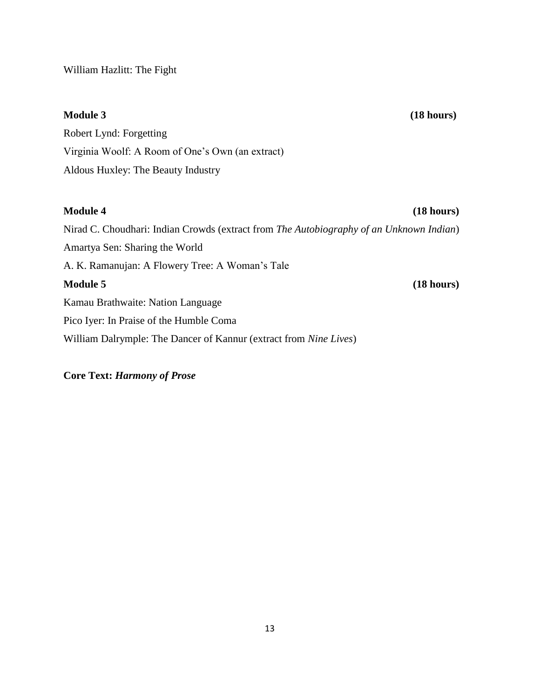William Hazlitt: The Fight

**Module 3 (18 hours)**

Robert Lynd: Forgetting Virginia Woolf: A Room of One's Own (an extract) Aldous Huxley: The Beauty Industry

# **Module 4 (18 hours)**

Nirad C. Choudhari: Indian Crowds (extract from *The Autobiography of an Unknown Indian*) Amartya Sen: Sharing the World A. K. Ramanujan: A Flowery Tree: A Woman's Tale **Module 5 (18 hours)** Kamau Brathwaite: Nation Language Pico Iyer: In Praise of the Humble Coma William Dalrymple: The Dancer of Kannur (extract from *Nine Lives*)

**Core Text:** *Harmony of Prose*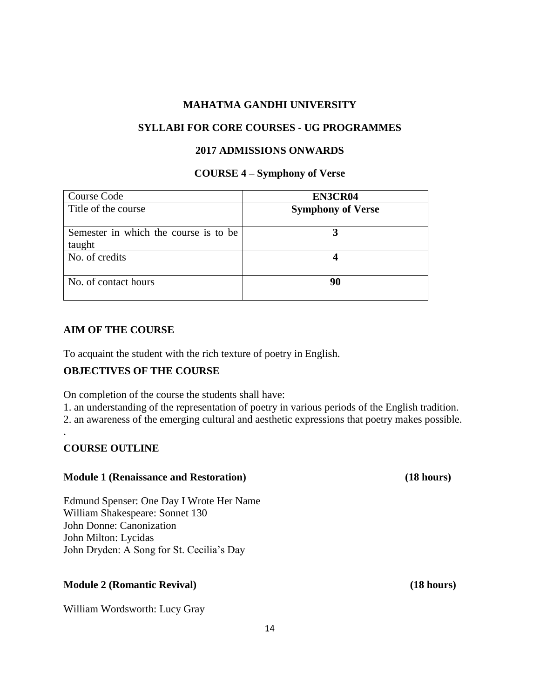#### **SYLLABI FOR CORE COURSES - UG PROGRAMMES**

### **2017 ADMISSIONS ONWARDS**

#### **COURSE 4 – Symphony of Verse**

| Course Code                           | EN3CR04                  |
|---------------------------------------|--------------------------|
| Title of the course                   | <b>Symphony of Verse</b> |
|                                       |                          |
| Semester in which the course is to be |                          |
| taught                                |                          |
| No. of credits                        |                          |
|                                       |                          |
| No. of contact hours                  | 90                       |
|                                       |                          |

#### **AIM OF THE COURSE**

To acquaint the student with the rich texture of poetry in English.

# **OBJECTIVES OF THE COURSE**

On completion of the course the students shall have:

1. an understanding of the representation of poetry in various periods of the English tradition. 2. an awareness of the emerging cultural and aesthetic expressions that poetry makes possible.

#### **COURSE OUTLINE**

.

#### **Module 1 (Renaissance and Restoration) (18 hours)**

Edmund Spenser: One Day I Wrote Her Name William Shakespeare: Sonnet 130 John Donne: Canonization John Milton: Lycidas John Dryden: A Song for St. Cecilia's Day

#### **Module 2 (Romantic Revival) (18 hours)**

William Wordsworth: Lucy Gray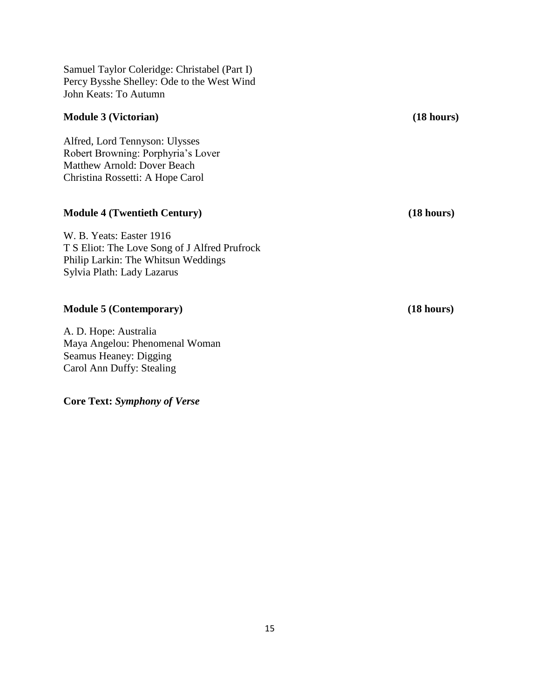Samuel Taylor Coleridge: Christabel (Part I) Percy Bysshe Shelley: Ode to the West Wind John Keats: To Autumn

### **Module 3 (Victorian) (18 hours)**

Alfred, Lord Tennyson: Ulysses Robert Browning: Porphyria's Lover Matthew Arnold: Dover Beach Christina Rossetti: A Hope Carol

#### **Module 4 (Twentieth Century) (18 hours)**

W. B. Yeats: Easter 1916 T S Eliot: The Love Song of J Alfred Prufrock Philip Larkin: The Whitsun Weddings Sylvia Plath: Lady Lazarus

### **Module 5 (Contemporary) (18 hours)**

A. D. Hope: Australia Maya Angelou: Phenomenal Woman Seamus Heaney: Digging Carol Ann Duffy: Stealing

**Core Text:** *Symphony of Verse*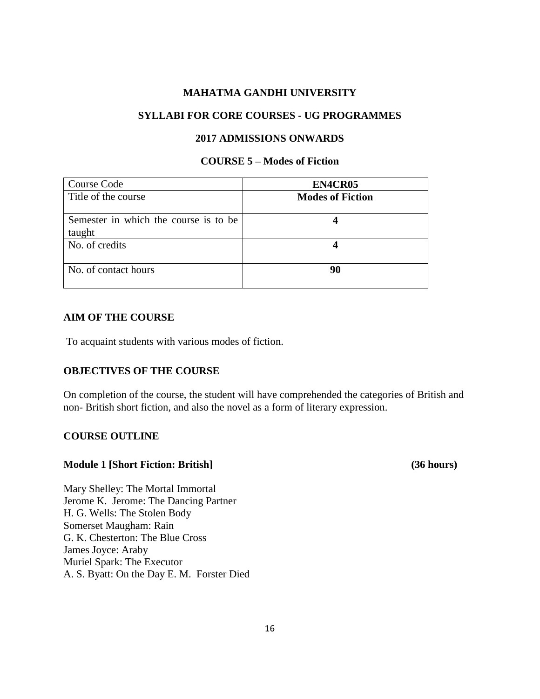# **SYLLABI FOR CORE COURSES - UG PROGRAMMES**

#### **2017 ADMISSIONS ONWARDS**

# **COURSE 5 – Modes of Fiction**

| Course Code                                     | EN4CR05                 |
|-------------------------------------------------|-------------------------|
| Title of the course                             | <b>Modes of Fiction</b> |
| Semester in which the course is to be<br>taught |                         |
| No. of credits                                  |                         |
| No. of contact hours                            | 90                      |

#### **AIM OF THE COURSE**

To acquaint students with various modes of fiction.

### **OBJECTIVES OF THE COURSE**

On completion of the course, the student will have comprehended the categories of British and non- British short fiction, and also the novel as a form of literary expression.

#### **COURSE OUTLINE**

#### **Module 1 [Short Fiction: British] (36 hours)**

Mary Shelley: The Mortal Immortal Jerome K. Jerome: The Dancing Partner H. G. Wells: The Stolen Body Somerset Maugham: Rain G. K. Chesterton: The Blue Cross James Joyce: Araby Muriel Spark: The Executor A. S. Byatt: On the Day E. M. Forster Died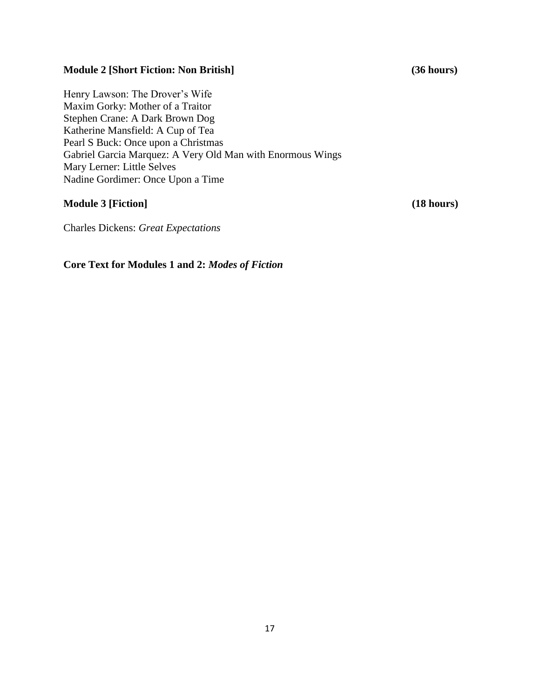# **Module 2 [Short Fiction: Non British] (36 hours)**

Henry Lawson: The Drover's Wife Maxim Gorky: Mother of a Traitor Stephen Crane: A Dark Brown Dog Katherine Mansfield: A Cup of Tea Pearl S Buck: Once upon a Christmas Gabriel Garcia Marquez: A Very Old Man with Enormous Wings Mary Lerner: Little Selves Nadine Gordimer: Once Upon a Time

## **Module 3 [Fiction] (18 hours)**

Charles Dickens: *Great Expectations*

# **Core Text for Modules 1 and 2:** *Modes of Fiction*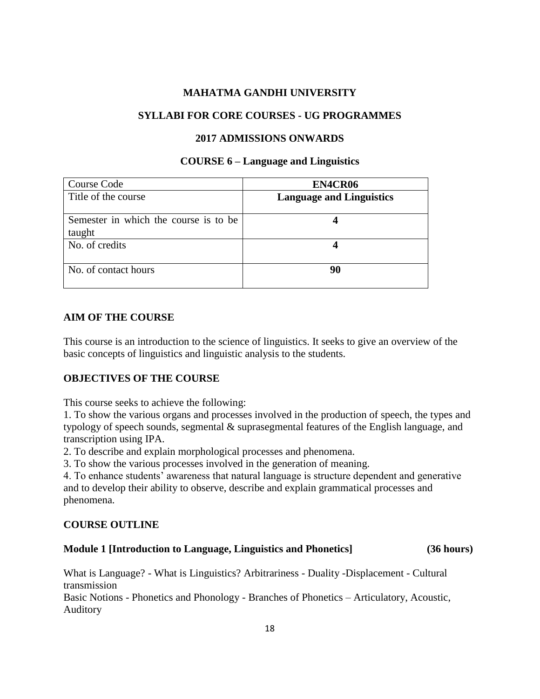# **SYLLABI FOR CORE COURSES - UG PROGRAMMES**

### **2017 ADMISSIONS ONWARDS**

#### **COURSE 6 – Language and Linguistics**

| Course Code                                     | EN4CR06                         |
|-------------------------------------------------|---------------------------------|
| Title of the course                             | <b>Language and Linguistics</b> |
| Semester in which the course is to be<br>taught |                                 |
| No. of credits                                  |                                 |
| No. of contact hours                            | 90                              |

# **AIM OF THE COURSE**

This course is an introduction to the science of linguistics. It seeks to give an overview of the basic concepts of linguistics and linguistic analysis to the students.

# **OBJECTIVES OF THE COURSE**

This course seeks to achieve the following:

1. To show the various organs and processes involved in the production of speech, the types and typology of speech sounds, segmental & suprasegmental features of the English language, and transcription using IPA.

2. To describe and explain morphological processes and phenomena.

3. To show the various processes involved in the generation of meaning.

4. To enhance students' awareness that natural language is structure dependent and generative and to develop their ability to observe, describe and explain grammatical processes and phenomena.

# **COURSE OUTLINE**

# **Module 1 [Introduction to Language, Linguistics and Phonetics] (36 hours)**

What is Language? - What is Linguistics? Arbitrariness - Duality -Displacement - Cultural transmission Basic Notions - Phonetics and Phonology - Branches of Phonetics – Articulatory, Acoustic, Auditory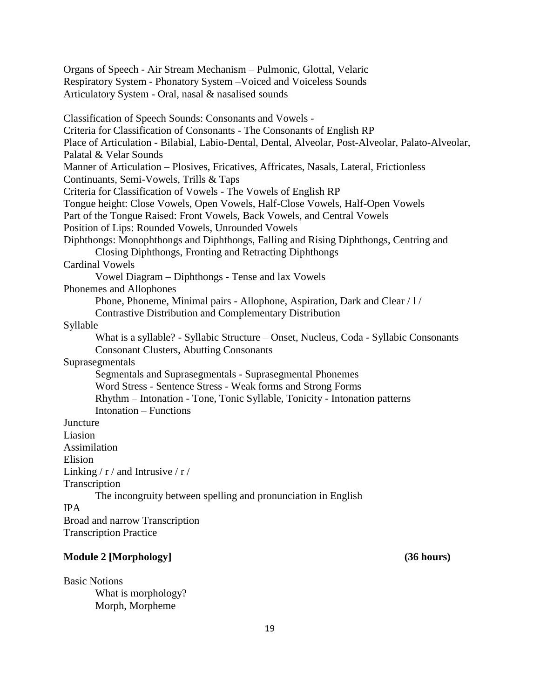Organs of Speech - Air Stream Mechanism – Pulmonic, Glottal, Velaric Respiratory System - Phonatory System –Voiced and Voiceless Sounds Articulatory System - Oral, nasal & nasalised sounds Classification of Speech Sounds: Consonants and Vowels - Criteria for Classification of Consonants - The Consonants of English RP Place of Articulation - Bilabial, Labio-Dental, Dental, Alveolar, Post-Alveolar, Palato-Alveolar, Palatal & Velar Sounds Manner of Articulation – Plosives, Fricatives, Affricates, Nasals, Lateral, Frictionless Continuants, Semi-Vowels, Trills & Taps Criteria for Classification of Vowels - The Vowels of English RP Tongue height: Close Vowels, Open Vowels, Half-Close Vowels, Half-Open Vowels Part of the Tongue Raised: Front Vowels, Back Vowels, and Central Vowels Position of Lips: Rounded Vowels, Unrounded Vowels Diphthongs: Monophthongs and Diphthongs, Falling and Rising Diphthongs, Centring and Closing Diphthongs, Fronting and Retracting Diphthongs Cardinal Vowels Vowel Diagram – Diphthongs - Tense and lax Vowels Phonemes and Allophones Phone, Phoneme, Minimal pairs - Allophone, Aspiration, Dark and Clear / l / Contrastive Distribution and Complementary Distribution Syllable What is a syllable? - Syllabic Structure – Onset, Nucleus, Coda - Syllabic Consonants Consonant Clusters, Abutting Consonants Suprasegmentals Segmentals and Suprasegmentals - Suprasegmental Phonemes Word Stress - Sentence Stress - Weak forms and Strong Forms Rhythm – Intonation - Tone, Tonic Syllable, Tonicity - Intonation patterns Intonation – Functions **Juncture** Liasion Assimilation Elision Linking  $/r /$  and Intrusive  $/r /$ Transcription The incongruity between spelling and pronunciation in English IPA Broad and narrow Transcription Transcription Practice

# **Module 2 [Morphology] (36 hours)**

Basic Notions What is morphology? Morph, Morpheme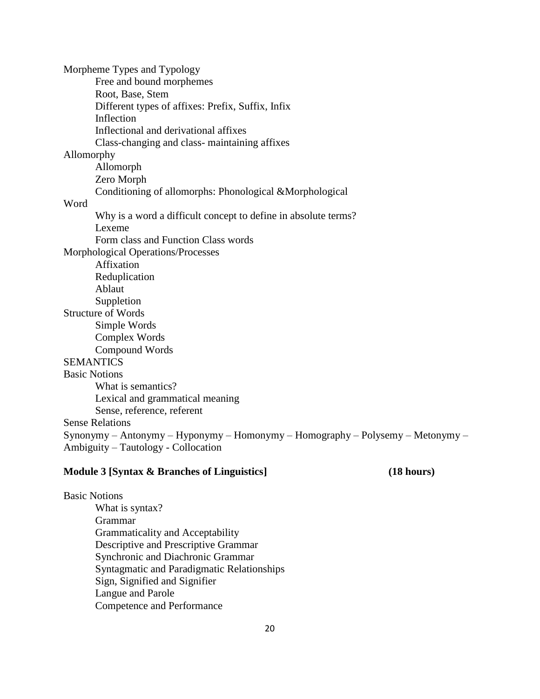Morpheme Types and Typology Free and bound morphemes Root, Base, Stem Different types of affixes: Prefix, Suffix, Infix Inflection Inflectional and derivational affixes Class-changing and class- maintaining affixes Allomorphy Allomorph Zero Morph Conditioning of allomorphs: Phonological &Morphological Word Why is a word a difficult concept to define in absolute terms? Lexeme Form class and Function Class words Morphological Operations/Processes Affixation Reduplication Ablaut Suppletion Structure of Words Simple Words Complex Words Compound Words **SEMANTICS** Basic Notions What is semantics? Lexical and grammatical meaning Sense, reference, referent Sense Relations Synonymy – Antonymy – Hyponymy – Homonymy – Homography – Polysemy – Metonymy – Ambiguity – Tautology - Collocation

#### **Module 3 [Syntax & Branches of Linguistics] (18 hours)**

Basic Notions What is syntax? Grammar Grammaticality and Acceptability Descriptive and Prescriptive Grammar Synchronic and Diachronic Grammar Syntagmatic and Paradigmatic Relationships Sign, Signified and Signifier Langue and Parole Competence and Performance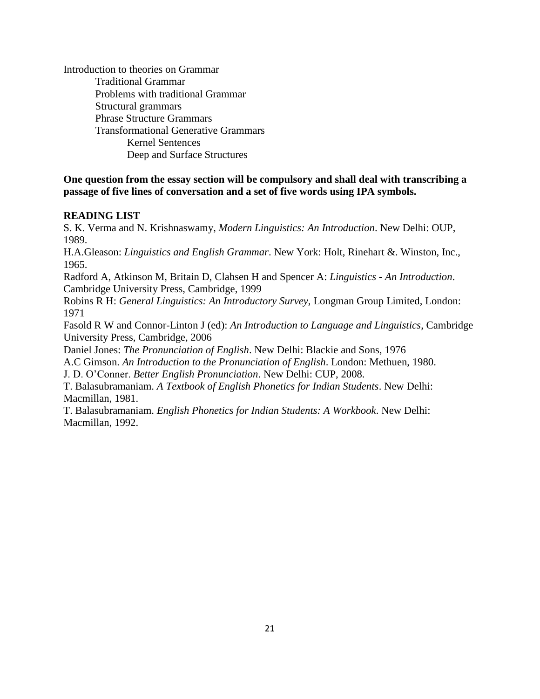Introduction to theories on Grammar Traditional Grammar Problems with traditional Grammar Structural grammars Phrase Structure Grammars Transformational Generative Grammars Kernel Sentences Deep and Surface Structures

# **One question from the essay section will be compulsory and shall deal with transcribing a passage of five lines of conversation and a set of five words using IPA symbols.**

# **READING LIST**

S. K. Verma and N. Krishnaswamy, *Modern Linguistics: An Introduction*. New Delhi: OUP, 1989.

H.A.Gleason: *Linguistics and English Grammar*. New York: Holt, Rinehart &. Winston, Inc., 1965.

Radford A, Atkinson M, Britain D, Clahsen H and Spencer A: *Linguistics - An Introduction*. Cambridge University Press, Cambridge, 1999

Robins R H: *General Linguistics: An Introductory Survey*, Longman Group Limited, London: 1971

Fasold R W and Connor-Linton J (ed): *An Introduction to Language and Linguistics*, Cambridge University Press, Cambridge, 2006

Daniel Jones: *The Pronunciation of English*. New Delhi: Blackie and Sons, 1976

A.C Gimson. *An Introduction to the Pronunciation of English*. London: Methuen, 1980.

J. D. O'Conner. *Better English Pronunciation*. New Delhi: CUP, 2008.

T. Balasubramaniam. *A Textbook of English Phonetics for Indian Students*. New Delhi: Macmillan, 1981.

T. Balasubramaniam. *English Phonetics for Indian Students: A Workbook*. New Delhi: Macmillan, 1992.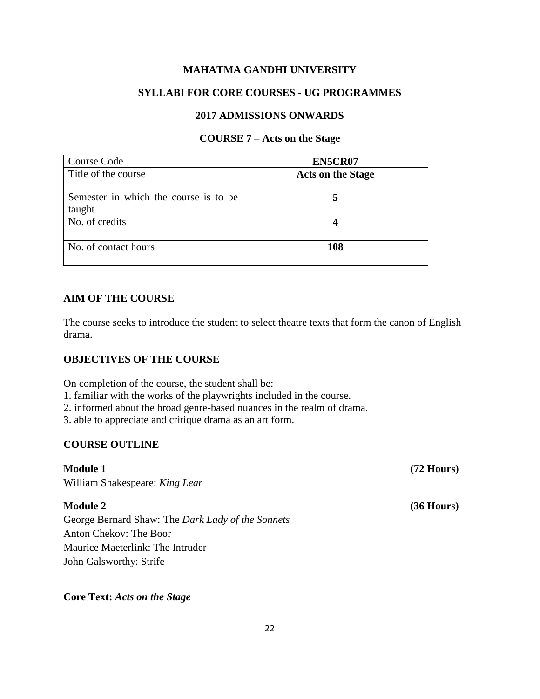# **SYLLABI FOR CORE COURSES - UG PROGRAMMES**

# **2017 ADMISSIONS ONWARDS**

#### **COURSE 7 – Acts on the Stage**

| Course Code                           | EN5CR07                  |
|---------------------------------------|--------------------------|
| Title of the course                   | <b>Acts on the Stage</b> |
|                                       |                          |
| Semester in which the course is to be |                          |
| taught                                |                          |
| No. of credits                        |                          |
|                                       |                          |
| No. of contact hours                  | 108                      |
|                                       |                          |

# **AIM OF THE COURSE**

The course seeks to introduce the student to select theatre texts that form the canon of English drama.

# **OBJECTIVES OF THE COURSE**

On completion of the course, the student shall be:

- 1. familiar with the works of the playwrights included in the course.
- 2. informed about the broad genre-based nuances in the realm of drama.

3. able to appreciate and critique drama as an art form.

# **COURSE OUTLINE**

**Module 1 (72 Hours)** William Shakespeare: *King Lear*

George Bernard Shaw: The *Dark Lady of the Sonnets* Anton Chekov: The Boor Maurice Maeterlink: The Intruder John Galsworthy: Strife

# **Core Text:** *Acts on the Stage*

**Module 2** (36 Hours)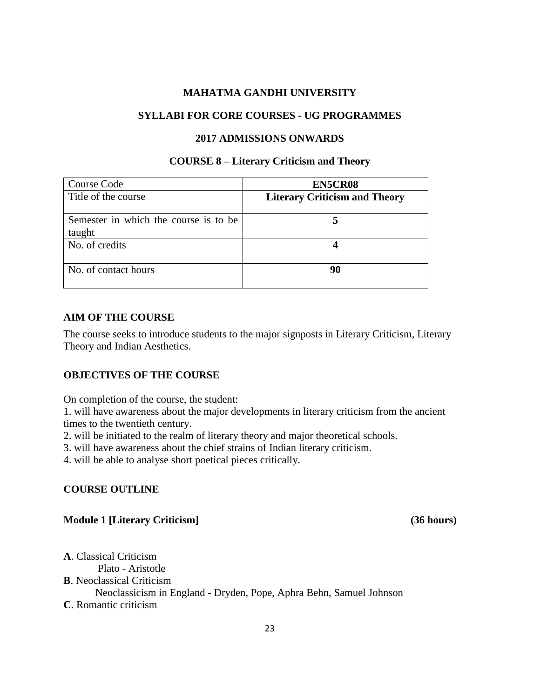### **SYLLABI FOR CORE COURSES - UG PROGRAMMES**

#### **2017 ADMISSIONS ONWARDS**

#### **COURSE 8 – Literary Criticism and Theory**

| Course Code                                     | EN5CR08                              |
|-------------------------------------------------|--------------------------------------|
| Title of the course                             | <b>Literary Criticism and Theory</b> |
| Semester in which the course is to be<br>taught |                                      |
| No. of credits                                  |                                      |
| No. of contact hours                            | 90                                   |

# **AIM OF THE COURSE**

The course seeks to introduce students to the major signposts in Literary Criticism, Literary Theory and Indian Aesthetics.

# **OBJECTIVES OF THE COURSE**

On completion of the course, the student:

1. will have awareness about the major developments in literary criticism from the ancient times to the twentieth century.

2. will be initiated to the realm of literary theory and major theoretical schools.

3. will have awareness about the chief strains of Indian literary criticism.

4. will be able to analyse short poetical pieces critically.

# **COURSE OUTLINE**

# **Module 1 [Literary Criticism] (36 hours)**

**A**. Classical Criticism Plato - Aristotle **B**. Neoclassical Criticism Neoclassicism in England - Dryden, Pope, Aphra Behn, Samuel Johnson **C**. Romantic criticism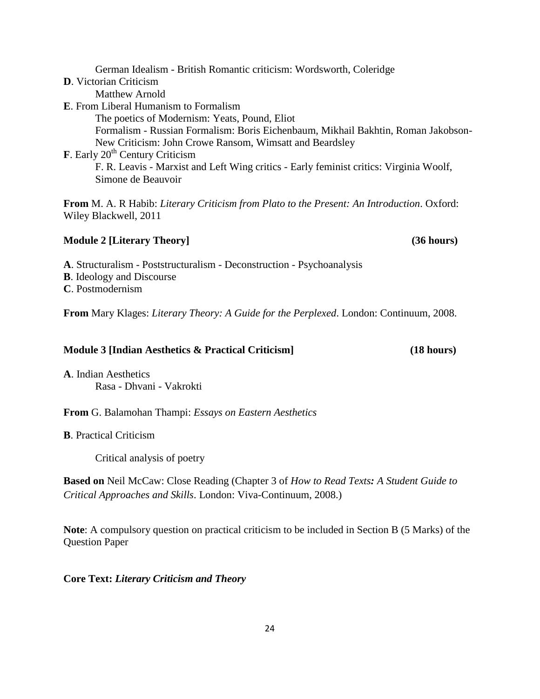German Idealism - British Romantic criticism: Wordsworth, Coleridge **D**. Victorian Criticism Matthew Arnold **E**. From Liberal Humanism to Formalism The poetics of Modernism: Yeats, Pound, Eliot Formalism - Russian Formalism: Boris Eichenbaum, Mikhail Bakhtin, Roman Jakobson-New Criticism: John Crowe Ransom, Wimsatt and Beardsley **F**. Early 20<sup>th</sup> Century Criticism F. R. Leavis - Marxist and Left Wing critics - Early feminist critics: Virginia Woolf, Simone de Beauvoir **From** M. A. R Habib: *Literary Criticism from Plato to the Present: An Introduction*. Oxford: Wiley Blackwell, 2011

# **Module 2 [Literary Theory] (36 hours)**

**A**. Structuralism - Poststructuralism - Deconstruction - Psychoanalysis

**B**. Ideology and Discourse

**C**. Postmodernism

**From** Mary Klages: *Literary Theory: A Guide for the Perplexed*. London: Continuum, 2008.

# **Module 3 [Indian Aesthetics & Practical Criticism] (18 hours)**

**A**. Indian Aesthetics Rasa - Dhvani - Vakrokti

**From** G. Balamohan Thampi: *Essays on Eastern Aesthetics*

**B**. Practical Criticism

Critical analysis of poetry

**Based on** Neil McCaw: Close Reading (Chapter 3 of *How to Read Texts: A Student Guide to Critical Approaches and Skills*. London: Viva-Continuum, 2008.)

**Note**: A compulsory question on practical criticism to be included in Section B (5 Marks) of the Question Paper

**Core Text:** *Literary Criticism and Theory*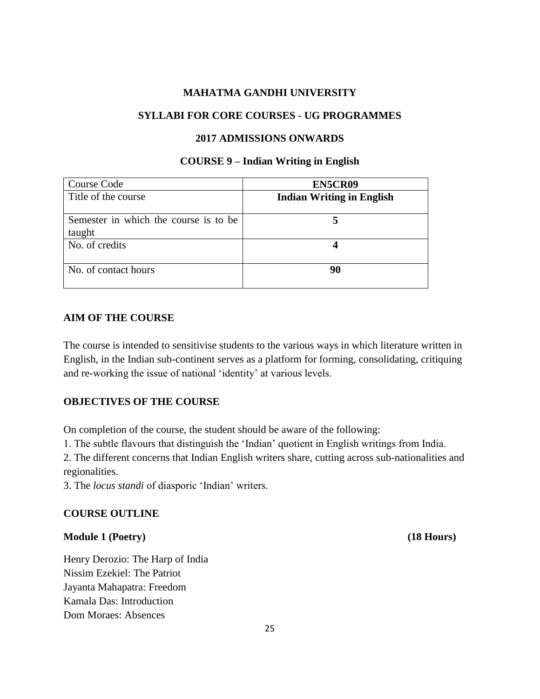### **SYLLABI FOR CORE COURSES - UG PROGRAMMES**

#### **2017 ADMISSIONS ONWARDS**

#### **COURSE 9 – Indian Writing in English**

| Course Code                                     | EN5CR09                          |
|-------------------------------------------------|----------------------------------|
| Title of the course                             | <b>Indian Writing in English</b> |
| Semester in which the course is to be<br>taught |                                  |
| No. of credits                                  |                                  |
| No. of contact hours                            | 90                               |

### **AIM OF THE COURSE**

The course is intended to sensitivise students to the various ways in which literature written in English, in the Indian sub-continent serves as a platform for forming, consolidating, critiquing and re-working the issue of national 'identity' at various levels.

#### **OBJECTIVES OF THE COURSE**

On completion of the course, the student should be aware of the following:

1. The subtle flavours that distinguish the 'Indian' quotient in English writings from India.

2. The different concerns that Indian English writers share, cutting across sub-nationalities and regionalities.

3. The *locus standi* of diasporic 'Indian' writers.

#### **COURSE OUTLINE**

#### **Module 1 (Poetry) (18 Hours)**

Henry Derozio: The Harp of India Nissim Ezekiel: The Patriot Jayanta Mahapatra: Freedom Kamala Das: Introduction Dom Moraes: Absences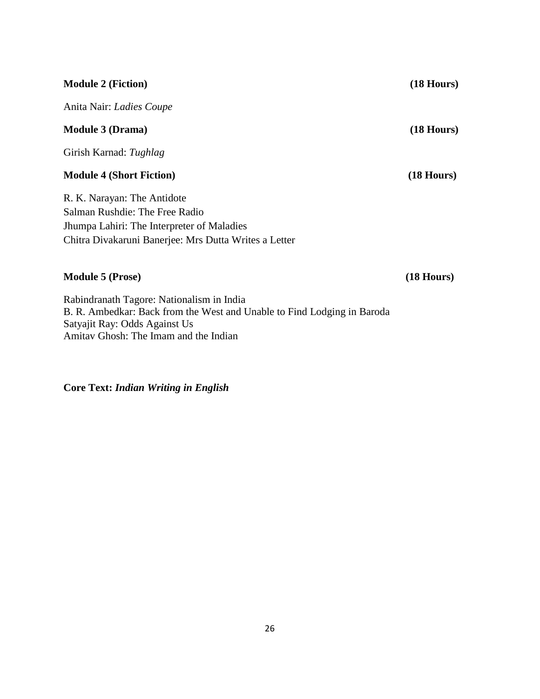# **Module 2 (Fiction) (18 Hours)** Anita Nair: *Ladies Coupe* **Module 3 (Drama) (18 Hours)** Girish Karnad: *Tughlag* **Module 4 (Short Fiction) (18 Hours)** R. K. Narayan: The Antidote Salman Rushdie: The Free Radio Jhumpa Lahiri: The Interpreter of Maladies Chitra Divakaruni Banerjee: Mrs Dutta Writes a Letter

# **Module 5 (Prose) (18 Hours)**

Rabindranath Tagore: Nationalism in India B. R. Ambedkar: Back from the West and Unable to Find Lodging in Baroda Satyajit Ray: Odds Against Us Amitav Ghosh: The Imam and the Indian

**Core Text:** *Indian Writing in English*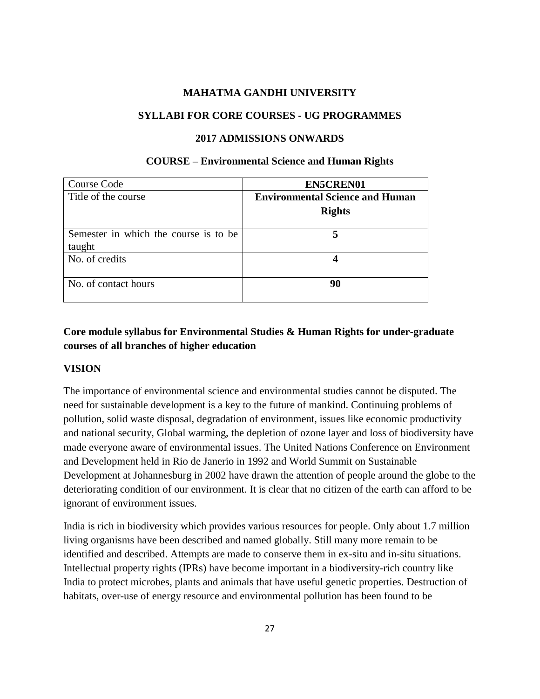### **SYLLABI FOR CORE COURSES - UG PROGRAMMES**

#### **2017 ADMISSIONS ONWARDS**

#### **COURSE – Environmental Science and Human Rights**

| Course Code                           | <b>EN5CREN01</b>                       |
|---------------------------------------|----------------------------------------|
| Title of the course                   | <b>Environmental Science and Human</b> |
|                                       | <b>Rights</b>                          |
| Semester in which the course is to be |                                        |
| taught                                |                                        |
| No. of credits                        |                                        |
| No. of contact hours                  | 90                                     |

# **Core module syllabus for Environmental Studies & Human Rights for under-graduate courses of all branches of higher education**

#### **VISION**

The importance of environmental science and environmental studies cannot be disputed. The need for sustainable development is a key to the future of mankind. Continuing problems of pollution, solid waste disposal, degradation of environment, issues like economic productivity and national security, Global warming, the depletion of ozone layer and loss of biodiversity have made everyone aware of environmental issues. The United Nations Conference on Environment and Development held in Rio de Janerio in 1992 and World Summit on Sustainable Development at Johannesburg in 2002 have drawn the attention of people around the globe to the deteriorating condition of our environment. It is clear that no citizen of the earth can afford to be ignorant of environment issues.

India is rich in biodiversity which provides various resources for people. Only about 1.7 million living organisms have been described and named globally. Still many more remain to be identified and described. Attempts are made to conserve them in ex-situ and in-situ situations. Intellectual property rights (IPRs) have become important in a biodiversity-rich country like India to protect microbes, plants and animals that have useful genetic properties. Destruction of habitats, over-use of energy resource and environmental pollution has been found to be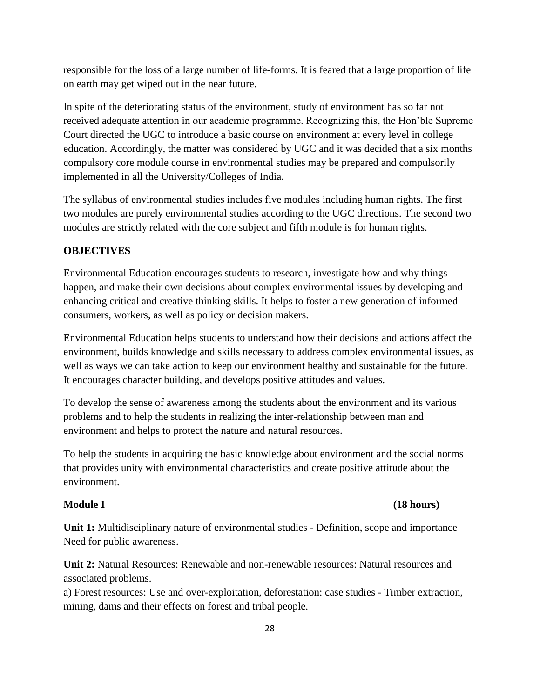responsible for the loss of a large number of life-forms. It is feared that a large proportion of life on earth may get wiped out in the near future.

In spite of the deteriorating status of the environment, study of environment has so far not received adequate attention in our academic programme. Recognizing this, the Hon'ble Supreme Court directed the UGC to introduce a basic course on environment at every level in college education. Accordingly, the matter was considered by UGC and it was decided that a six months compulsory core module course in environmental studies may be prepared and compulsorily implemented in all the University/Colleges of India.

The syllabus of environmental studies includes five modules including human rights. The first two modules are purely environmental studies according to the UGC directions. The second two modules are strictly related with the core subject and fifth module is for human rights.

#### **OBJECTIVES**

Environmental Education encourages students to research, investigate how and why things happen, and make their own decisions about complex environmental issues by developing and enhancing critical and creative thinking skills. It helps to foster a new generation of informed consumers, workers, as well as policy or decision makers.

Environmental Education helps students to understand how their decisions and actions affect the environment, builds knowledge and skills necessary to address complex environmental issues, as well as ways we can take action to keep our environment healthy and sustainable for the future. It encourages character building, and develops positive attitudes and values.

To develop the sense of awareness among the students about the environment and its various problems and to help the students in realizing the inter-relationship between man and environment and helps to protect the nature and natural resources.

To help the students in acquiring the basic knowledge about environment and the social norms that provides unity with environmental characteristics and create positive attitude about the environment.

# **Module I (18 hours)**

**Unit 1:** Multidisciplinary nature of environmental studies - Definition, scope and importance Need for public awareness.

**Unit 2:** Natural Resources: Renewable and non-renewable resources: Natural resources and associated problems.

a) Forest resources: Use and over-exploitation, deforestation: case studies - Timber extraction, mining, dams and their effects on forest and tribal people.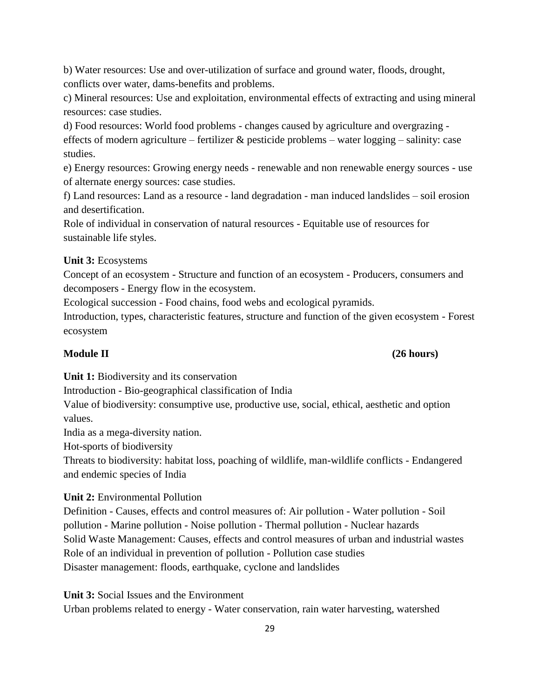b) Water resources: Use and over-utilization of surface and ground water, floods, drought, conflicts over water, dams-benefits and problems.

c) Mineral resources: Use and exploitation, environmental effects of extracting and using mineral resources: case studies.

d) Food resources: World food problems - changes caused by agriculture and overgrazing effects of modern agriculture – fertilizer  $\&$  pesticide problems – water logging – salinity: case studies.

e) Energy resources: Growing energy needs - renewable and non renewable energy sources - use of alternate energy sources: case studies.

f) Land resources: Land as a resource - land degradation - man induced landslides – soil erosion and desertification.

Role of individual in conservation of natural resources - Equitable use of resources for sustainable life styles.

# **Unit 3:** Ecosystems

Concept of an ecosystem - Structure and function of an ecosystem - Producers, consumers and decomposers - Energy flow in the ecosystem.

Ecological succession - Food chains, food webs and ecological pyramids.

Introduction, types, characteristic features, structure and function of the given ecosystem - Forest ecosystem

### **Module II (26 hours)**

**Unit 1:** Biodiversity and its conservation

Introduction - Bio-geographical classification of India

Value of biodiversity: consumptive use, productive use, social, ethical, aesthetic and option values.

India as a mega-diversity nation.

Hot-sports of biodiversity

Threats to biodiversity: habitat loss, poaching of wildlife, man-wildlife conflicts - Endangered and endemic species of India

# **Unit 2:** Environmental Pollution

Definition - Causes, effects and control measures of: Air pollution - Water pollution - Soil pollution - Marine pollution - Noise pollution - Thermal pollution - Nuclear hazards Solid Waste Management: Causes, effects and control measures of urban and industrial wastes Role of an individual in prevention of pollution - Pollution case studies Disaster management: floods, earthquake, cyclone and landslides

**Unit 3:** Social Issues and the Environment

Urban problems related to energy - Water conservation, rain water harvesting, watershed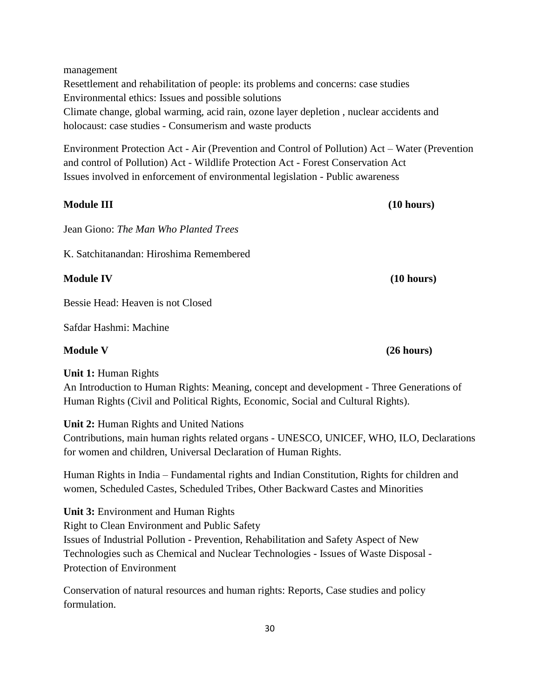management Resettlement and rehabilitation of people: its problems and concerns: case studies Environmental ethics: Issues and possible solutions Climate change, global warming, acid rain, ozone layer depletion , nuclear accidents and holocaust: case studies - Consumerism and waste products

Environment Protection Act - Air (Prevention and Control of Pollution) Act – Water (Prevention and control of Pollution) Act - Wildlife Protection Act - Forest Conservation Act Issues involved in enforcement of environmental legislation - Public awareness

**Module III (10 hours)** Jean Giono: *The Man Who Planted Trees*

K. Satchitanandan: Hiroshima Remembered

**Module IV (10 hours)**

Bessie Head: Heaven is not Closed

Safdar Hashmi: Machine

# **Module V (26 hours)**

**Unit 1:** Human Rights

An Introduction to Human Rights: Meaning, concept and development - Three Generations of Human Rights (Civil and Political Rights, Economic, Social and Cultural Rights).

**Unit 2:** Human Rights and United Nations

Contributions, main human rights related organs - UNESCO, UNICEF, WHO, ILO, Declarations for women and children, Universal Declaration of Human Rights.

Human Rights in India – Fundamental rights and Indian Constitution, Rights for children and women, Scheduled Castes, Scheduled Tribes, Other Backward Castes and Minorities

**Unit 3:** Environment and Human Rights Right to Clean Environment and Public Safety Issues of Industrial Pollution - Prevention, Rehabilitation and Safety Aspect of New Technologies such as Chemical and Nuclear Technologies - Issues of Waste Disposal - Protection of Environment

Conservation of natural resources and human rights: Reports, Case studies and policy formulation.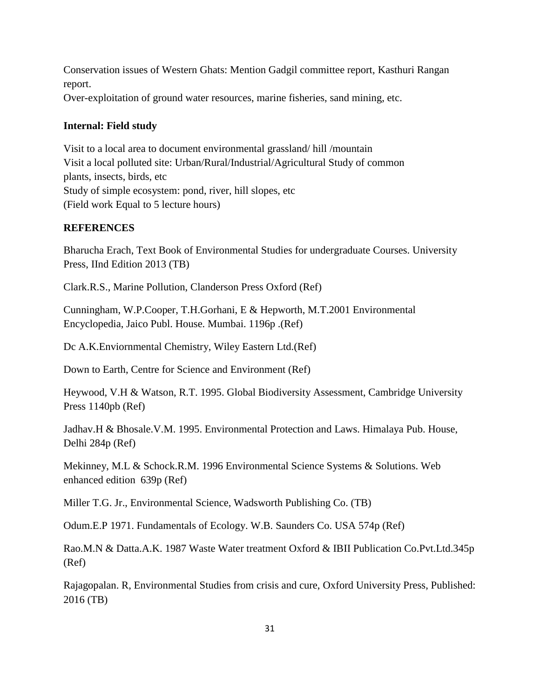Conservation issues of Western Ghats: Mention Gadgil committee report, Kasthuri Rangan report. Over-exploitation of ground water resources, marine fisheries, sand mining, etc.

# **Internal: Field study**

Visit to a local area to document environmental grassland/ hill /mountain Visit a local polluted site: Urban/Rural/Industrial/Agricultural Study of common plants, insects, birds, etc Study of simple ecosystem: pond, river, hill slopes, etc (Field work Equal to 5 lecture hours)

# **REFERENCES**

Bharucha Erach, Text Book of Environmental Studies for undergraduate Courses. University Press, IInd Edition 2013 (TB)

Clark.R.S., Marine Pollution, Clanderson Press Oxford (Ref)

Cunningham, W.P.Cooper, T.H.Gorhani, E & Hepworth, M.T.2001 Environmental Encyclopedia, Jaico Publ. House. Mumbai. 1196p .(Ref)

Dc A.K.Enviornmental Chemistry, Wiley Eastern Ltd.(Ref)

Down to Earth, Centre for Science and Environment (Ref)

Heywood, V.H & Watson, R.T. 1995. Global Biodiversity Assessment, Cambridge University Press 1140pb (Ref)

Jadhav.H & Bhosale.V.M. 1995. Environmental Protection and Laws. Himalaya Pub. House, Delhi 284p (Ref)

Mekinney, M.L & Schock.R.M. 1996 Environmental Science Systems & Solutions. Web enhanced edition 639p (Ref)

Miller T.G. Jr., Environmental Science, Wadsworth Publishing Co. (TB)

Odum.E.P 1971. Fundamentals of Ecology. W.B. Saunders Co. USA 574p (Ref)

Rao.M.N & Datta.A.K. 1987 Waste Water treatment Oxford & IBII Publication Co.Pvt.Ltd.345p (Ref)

Rajagopalan. R, Environmental Studies from crisis and cure, Oxford University Press, Published: 2016 (TB)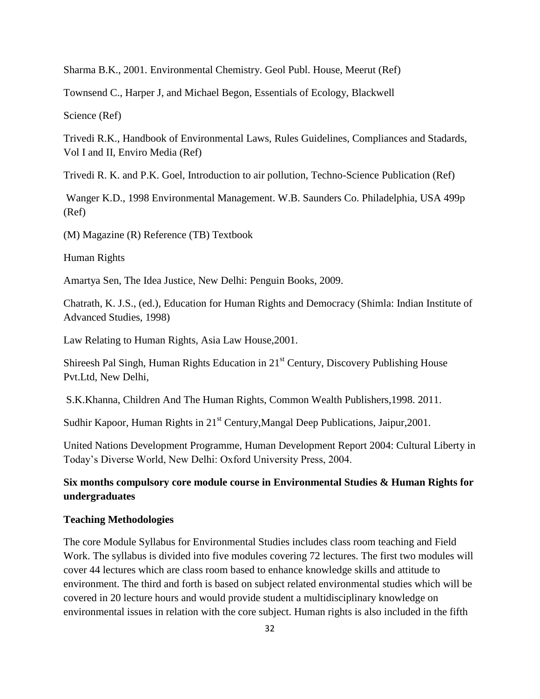Sharma B.K., 2001. Environmental Chemistry. Geol Publ. House, Meerut (Ref)

Townsend C., Harper J, and Michael Begon, Essentials of Ecology, Blackwell

Science (Ref)

Trivedi R.K., Handbook of Environmental Laws, Rules Guidelines, Compliances and Stadards, Vol I and II, Enviro Media (Ref)

Trivedi R. K. and P.K. Goel, Introduction to air pollution, Techno-Science Publication (Ref)

Wanger K.D., 1998 Environmental Management. W.B. Saunders Co. Philadelphia, USA 499p (Ref)

(M) Magazine (R) Reference (TB) Textbook

Human Rights

Amartya Sen, The Idea Justice, New Delhi: Penguin Books, 2009.

Chatrath, K. J.S., (ed.), Education for Human Rights and Democracy (Shimla: Indian Institute of Advanced Studies, 1998)

Law Relating to Human Rights, Asia Law House,2001.

Shireesh Pal Singh, Human Rights Education in 21st Century, Discovery Publishing House Pvt.Ltd, New Delhi,

S.K.Khanna, Children And The Human Rights, Common Wealth Publishers,1998. 2011.

Sudhir Kapoor, Human Rights in 21<sup>st</sup> Century, Mangal Deep Publications, Jaipur, 2001.

United Nations Development Programme, Human Development Report 2004: Cultural Liberty in Today's Diverse World, New Delhi: Oxford University Press, 2004.

# **Six months compulsory core module course in Environmental Studies & Human Rights for undergraduates**

#### **Teaching Methodologies**

The core Module Syllabus for Environmental Studies includes class room teaching and Field Work. The syllabus is divided into five modules covering 72 lectures. The first two modules will cover 44 lectures which are class room based to enhance knowledge skills and attitude to environment. The third and forth is based on subject related environmental studies which will be covered in 20 lecture hours and would provide student a multidisciplinary knowledge on environmental issues in relation with the core subject. Human rights is also included in the fifth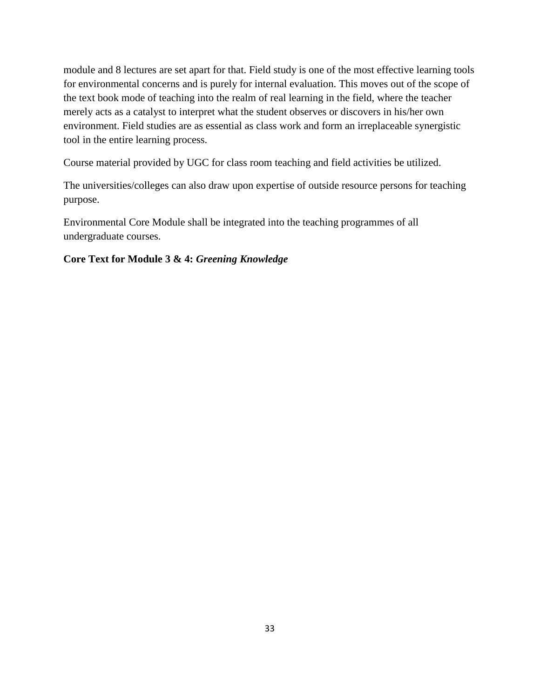module and 8 lectures are set apart for that. Field study is one of the most effective learning tools for environmental concerns and is purely for internal evaluation. This moves out of the scope of the text book mode of teaching into the realm of real learning in the field, where the teacher merely acts as a catalyst to interpret what the student observes or discovers in his/her own environment. Field studies are as essential as class work and form an irreplaceable synergistic tool in the entire learning process.

Course material provided by UGC for class room teaching and field activities be utilized.

The universities/colleges can also draw upon expertise of outside resource persons for teaching purpose.

Environmental Core Module shall be integrated into the teaching programmes of all undergraduate courses.

# **Core Text for Module 3 & 4:** *Greening Knowledge*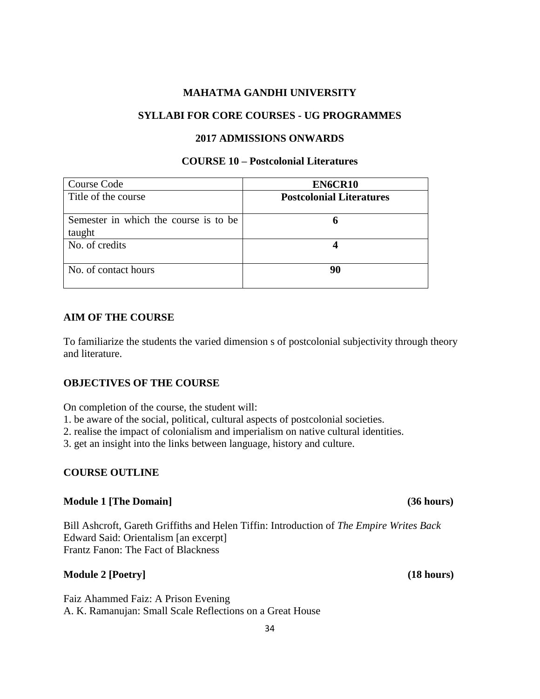### **SYLLABI FOR CORE COURSES - UG PROGRAMMES**

#### **2017 ADMISSIONS ONWARDS**

### **COURSE 10 – Postcolonial Literatures**

| Course Code                           | EN6CR10                         |
|---------------------------------------|---------------------------------|
| Title of the course                   | <b>Postcolonial Literatures</b> |
| Semester in which the course is to be | 6                               |
| taught                                |                                 |
| No. of credits                        |                                 |
|                                       |                                 |
| No. of contact hours                  | 90                              |
|                                       |                                 |

### **AIM OF THE COURSE**

To familiarize the students the varied dimension s of postcolonial subjectivity through theory and literature.

#### **OBJECTIVES OF THE COURSE**

On completion of the course, the student will:

- 1. be aware of the social, political, cultural aspects of postcolonial societies.
- 2. realise the impact of colonialism and imperialism on native cultural identities.
- 3. get an insight into the links between language, history and culture.

# **COURSE OUTLINE**

#### **Module 1 [The Domain] (36 hours)**

Bill Ashcroft, Gareth Griffiths and Helen Tiffin: Introduction of *The Empire Writes Back* Edward Said: Orientalism [an excerpt] Frantz Fanon: The Fact of Blackness

#### **Module 2 [Poetry] (18 hours)**

Faiz Ahammed Faiz: A Prison Evening A. K. Ramanujan: Small Scale Reflections on a Great House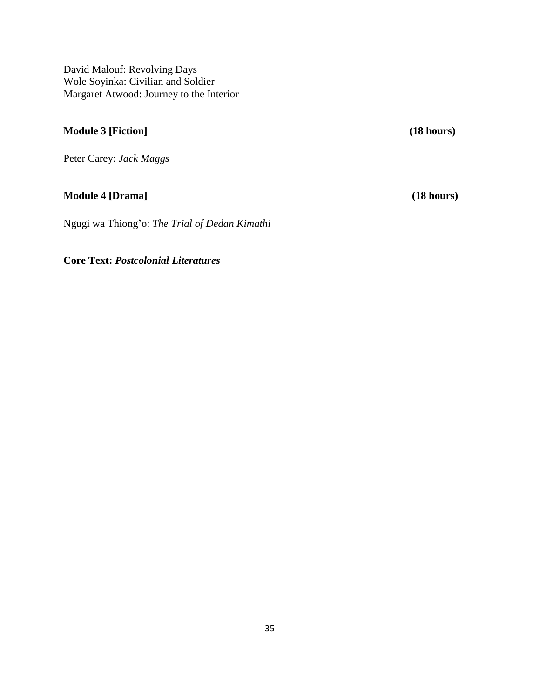David Malouf: Revolving Days Wole Soyinka: Civilian and Soldier Margaret Atwood: Journey to the Interior

# **Module 3 [Fiction] (18 hours)**

Peter Carey: *Jack Maggs*

# **Module 4 [Drama] (18 hours)**

Ngugi wa Thiong'o: *The Trial of Dedan Kimathi*

**Core Text:** *Postcolonial Literatures*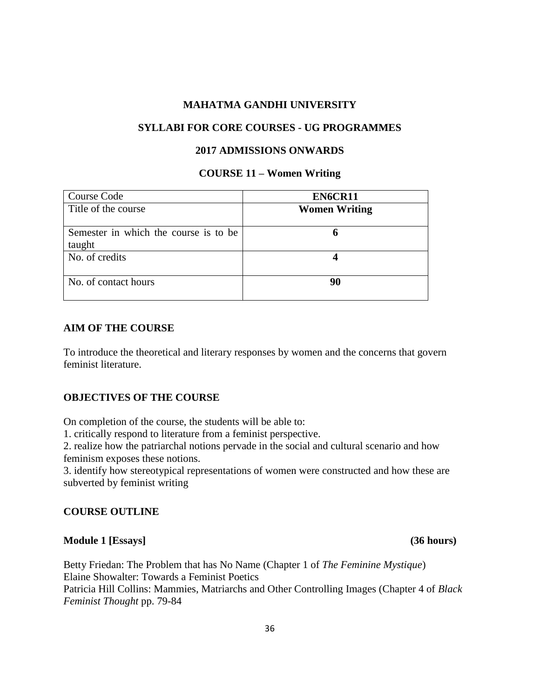#### **SYLLABI FOR CORE COURSES - UG PROGRAMMES**

### **2017 ADMISSIONS ONWARDS**

#### **COURSE 11 – Women Writing**

| Course Code                           | EN6CR11              |
|---------------------------------------|----------------------|
| Title of the course                   | <b>Women Writing</b> |
|                                       |                      |
| Semester in which the course is to be |                      |
| taught                                |                      |
| No. of credits                        |                      |
|                                       |                      |
| No. of contact hours                  | 90                   |
|                                       |                      |

#### **AIM OF THE COURSE**

To introduce the theoretical and literary responses by women and the concerns that govern feminist literature.

# **OBJECTIVES OF THE COURSE**

On completion of the course, the students will be able to:

1. critically respond to literature from a feminist perspective.

2. realize how the patriarchal notions pervade in the social and cultural scenario and how feminism exposes these notions.

3. identify how stereotypical representations of women were constructed and how these are subverted by feminist writing

#### **COURSE OUTLINE**

#### **Module 1 [Essays] (36 hours)**

Betty Friedan: The Problem that has No Name (Chapter 1 of *The Feminine Mystique*) Elaine Showalter: Towards a Feminist Poetics Patricia Hill Collins: Mammies, Matriarchs and Other Controlling Images (Chapter 4 of *Black Feminist Thought* pp. 79-84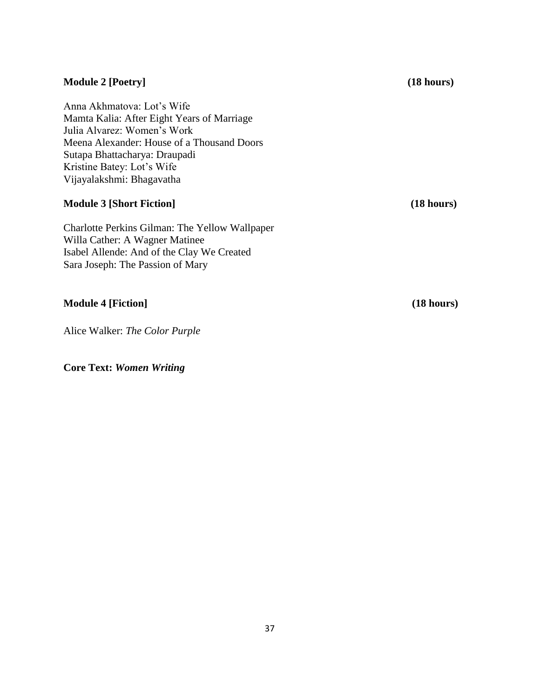#### **Module 2 [Poetry] (18 hours)**

Anna Akhmatova: Lot's Wife Mamta Kalia: After Eight Years of Marriage Julia Alvarez: Women's Work Meena Alexander: House of a Thousand Doors Sutapa Bhattacharya: Draupadi Kristine Batey: Lot's Wife Vijayalakshmi: Bhagavatha

## **Module 3 [Short Fiction] (18 hours)**

Charlotte Perkins Gilman: The Yellow Wallpaper Willa Cather: A Wagner Matinee Isabel Allende: And of the Clay We Created Sara Joseph: The Passion of Mary

**Module 4 [Fiction] (18 hours)**

Alice Walker: *The Color Purple*

# **Core Text:** *Women Writing*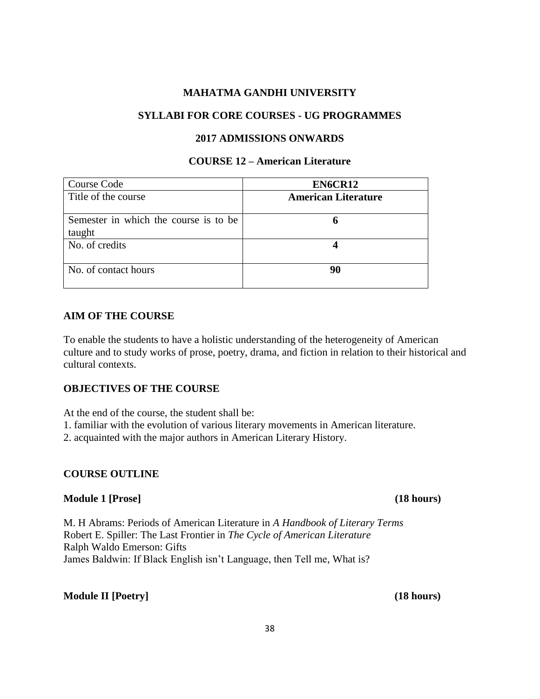### **SYLLABI FOR CORE COURSES - UG PROGRAMMES**

#### **2017 ADMISSIONS ONWARDS**

# **COURSE 12 – American Literature**

| Course Code                                     | EN6CR12                    |
|-------------------------------------------------|----------------------------|
| Title of the course                             | <b>American Literature</b> |
| Semester in which the course is to be<br>taught | h                          |
| No. of credits                                  |                            |
| No. of contact hours                            | 90                         |

### **AIM OF THE COURSE**

To enable the students to have a holistic understanding of the heterogeneity of American culture and to study works of prose, poetry, drama, and fiction in relation to their historical and cultural contexts.

### **OBJECTIVES OF THE COURSE**

At the end of the course, the student shall be:

- 1. familiar with the evolution of various literary movements in American literature.
- 2. acquainted with the major authors in American Literary History.

#### **COURSE OUTLINE**

#### **Module 1 [Prose] (18 hours)**

M. H Abrams: Periods of American Literature in *A Handbook of Literary Terms* Robert E. Spiller: The Last Frontier in *The Cycle of American Literature* Ralph Waldo Emerson: Gifts James Baldwin: If Black English isn't Language, then Tell me, What is?

#### **Module II [Poetry] (18 hours)**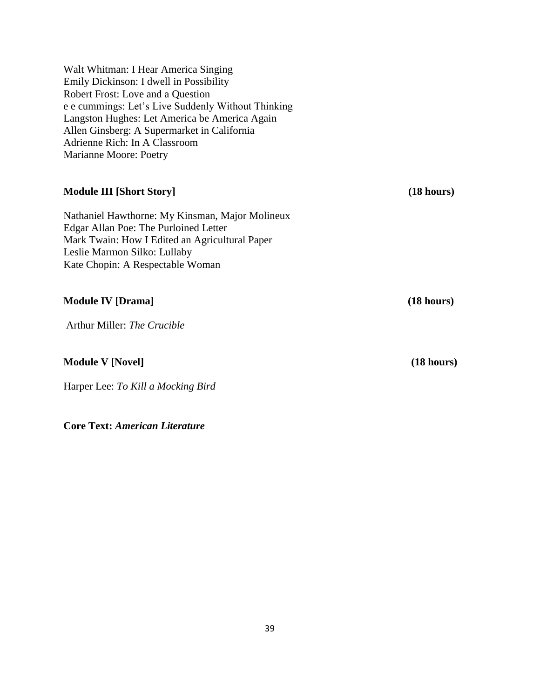Walt Whitman: I Hear America Singing Emily Dickinson: I dwell in Possibility Robert Frost: Love and a Question e e cummings: Let's Live Suddenly Without Thinking Langston Hughes: Let America be America Again Allen Ginsberg: A Supermarket in California Adrienne Rich: In A Classroom Marianne Moore: Poetry

# **Module III [Short Story] (18 hours)**

Nathaniel Hawthorne: My Kinsman, Major Molineux Edgar Allan Poe: The Purloined Letter Mark Twain: How I Edited an Agricultural Paper Leslie Marmon Silko: Lullaby Kate Chopin: A Respectable Woman

**Module IV [Drama]** (18 hours)

Arthur Miller: *The Crucible*

#### **Module V [Novel] (18 hours)**

Harper Lee: *To Kill a Mocking Bird*

**Core Text:** *American Literature*

39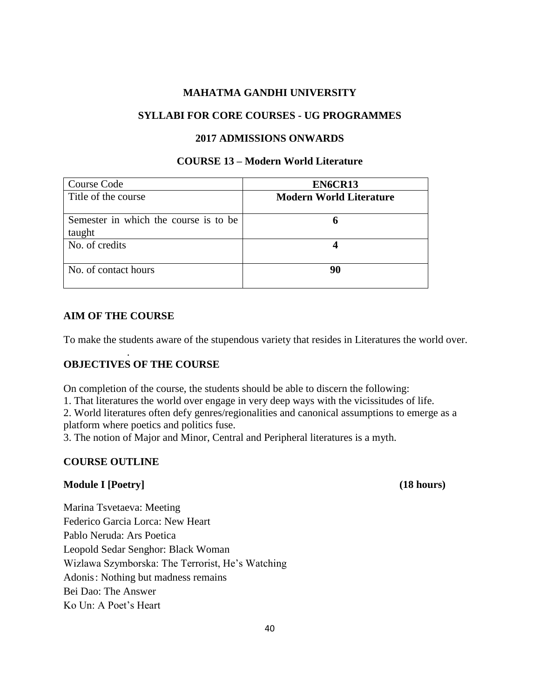### **SYLLABI FOR CORE COURSES - UG PROGRAMMES**

#### **2017 ADMISSIONS ONWARDS**

### **COURSE 13 – Modern World Literature**

| Course Code                                     | EN6CR13                        |
|-------------------------------------------------|--------------------------------|
| Title of the course                             | <b>Modern World Literature</b> |
| Semester in which the course is to be<br>taught | 6                              |
| No. of credits                                  |                                |
| No. of contact hours                            | 90                             |

### **AIM OF THE COURSE**

.

To make the students aware of the stupendous variety that resides in Literatures the world over.

# **OBJECTIVES OF THE COURSE**

On completion of the course, the students should be able to discern the following:

1. That literatures the world over engage in very deep ways with the vicissitudes of life.

2. World literatures often defy genres/regionalities and canonical assumptions to emerge as a platform where poetics and politics fuse.

3. The notion of Major and Minor, Central and Peripheral literatures is a myth.

# **COURSE OUTLINE**

#### **Module I [Poetry] (18 hours)**

Marina Tsvetaeva: Meeting Federico Garcia Lorca: New Heart Pablo Neruda: Ars Poetica Leopold Sedar Senghor: Black Woman Wizlawa Szymborska: The Terrorist, He's Watching Adonis: Nothing but madness remains Bei Dao: The Answer Ko Un: A Poet's Heart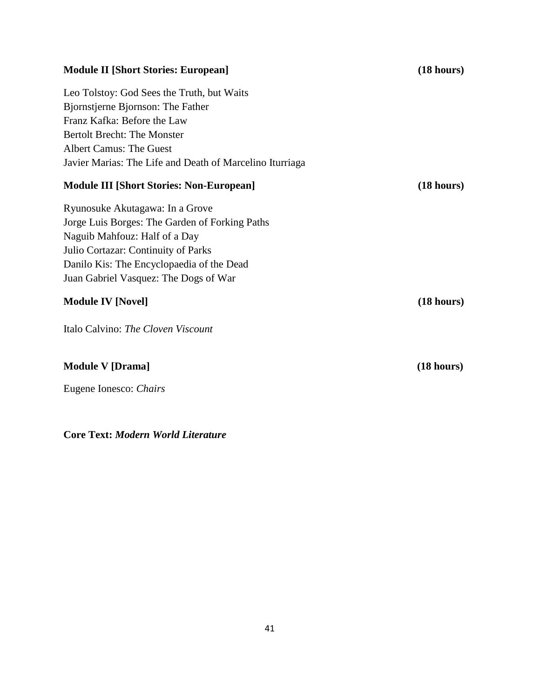# **Module II [Short Stories: European] (18 hours)** Leo Tolstoy: God Sees the Truth, but Waits Bjornstjerne Bjornson: The Father Franz Kafka: Before the Law Bertolt Brecht: The Monster Albert Camus: The Guest Javier Marias: The Life and Death of Marcelino Iturriaga **Module III [Short Stories: Non-European] (18 hours)** Ryunosuke Akutagawa: In a Grove Jorge Luis Borges: The Garden of Forking Paths Naguib Mahfouz: Half of a Day Julio Cortazar: Continuity of Parks Danilo Kis: The Encyclopaedia of the Dead Juan Gabriel Vasquez: The Dogs of War **Module IV [Novel] (18 hours)** Italo Calvino: *The Cloven Viscount*

# **Module V [Drama] (18 hours)**

Eugene Ionesco: *Chairs*

# **Core Text:** *Modern World Literature*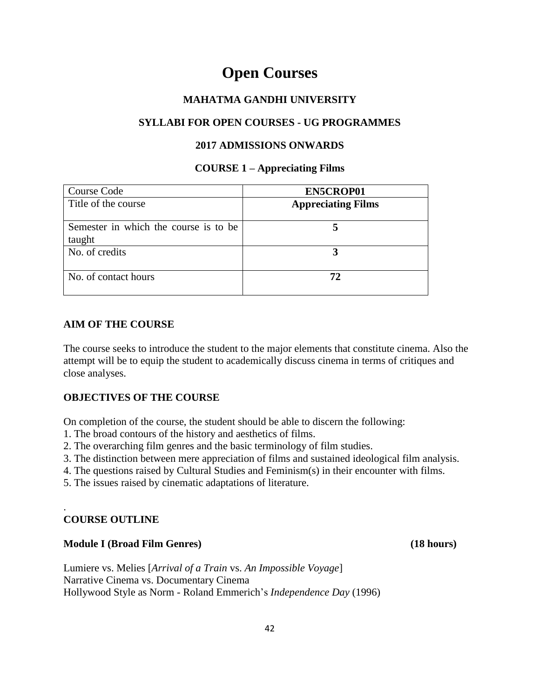# **Open Courses**

# **MAHATMA GANDHI UNIVERSITY**

# **SYLLABI FOR OPEN COURSES - UG PROGRAMMES**

# **2017 ADMISSIONS ONWARDS**

# **COURSE 1 – Appreciating Films**

| Course Code                                     | <b>EN5CROP01</b>          |
|-------------------------------------------------|---------------------------|
| Title of the course                             | <b>Appreciating Films</b> |
| Semester in which the course is to be<br>taught |                           |
| No. of credits                                  |                           |
| No. of contact hours                            | 72                        |

# **AIM OF THE COURSE**

The course seeks to introduce the student to the major elements that constitute cinema. Also the attempt will be to equip the student to academically discuss cinema in terms of critiques and close analyses.

# **OBJECTIVES OF THE COURSE**

On completion of the course, the student should be able to discern the following:

- 1. The broad contours of the history and aesthetics of films.
- 2. The overarching film genres and the basic terminology of film studies.
- 3. The distinction between mere appreciation of films and sustained ideological film analysis.
- 4. The questions raised by Cultural Studies and Feminism(s) in their encounter with films.
- 5. The issues raised by cinematic adaptations of literature.

# **COURSE OUTLINE**

.

# **Module I (Broad Film Genres) (18 hours)**

Lumiere vs. Melies [*Arrival of a Train* vs. *An Impossible Voyage*] Narrative Cinema vs. Documentary Cinema Hollywood Style as Norm - [Roland Emmerich'](https://en.wikipedia.org/wiki/Roland_Emmerich)s *Independence Day* (1996)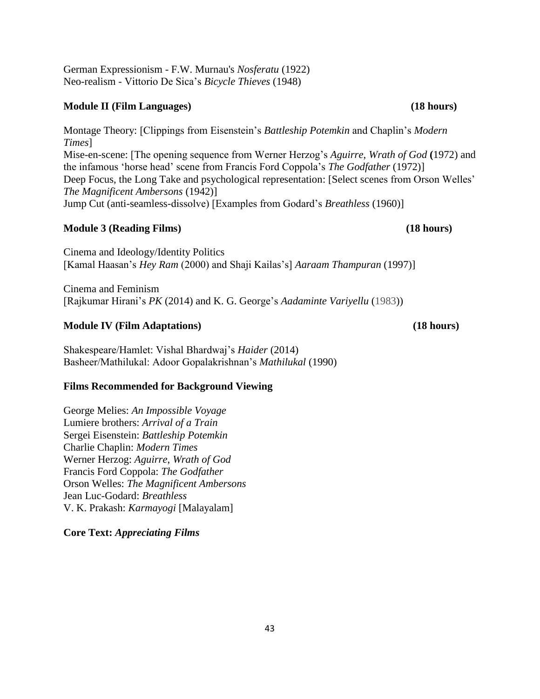German Expressionism - F.W. Murnau's *Nosferatu* (1922) Neo-realism - Vittorio De Sica's *Bicycle Thieves* (1948)

### **Module II (Film Languages) (18 hours)**

Montage Theory: [Clippings from Eisenstein's *Battleship Potemkin* and Chaplin's *Modern Times*] Mise-en-scene: [The opening sequence from Werner Herzog's *Aguirre*, *Wrath of God* **(**1972) and the infamous ‗horse head' scene from Francis Ford Coppola's *The Godfather* (1972)] Deep Focus, the Long Take and psychological representation: [Select scenes from Orson Welles' *The Magnificent Ambersons* (1942)] Jump Cut (anti-seamless-dissolve) [Examples from Godard's *Breathless* (1960)]

# **Module 3 (Reading Films) (18 hours)**

Cinema and Ideology/Identity Politics [Kamal Haasan's *Hey Ram* (2000) and Shaji Kailas's] *Aaraam Thampuran* (1997)]

Cinema and Feminism [Rajkumar Hirani's *PK* (2014) and K. G. George's *Aadaminte Variyellu* (1983))

### **Module IV (Film Adaptations) (18 hours)**

Shakespeare/Hamlet: Vishal Bhardwaj's *Haider* (2014) Basheer/Mathilukal: Adoor Gopalakrishnan's *Mathilukal* (1990)

# **Films Recommended for Background Viewing**

George Melies: *An Impossible Voyage* Lumiere brothers: *Arrival of a Train* Sergei Eisenstein: *Battleship Potemkin* Charlie Chaplin: *Modern Times* Werner Herzog: *Aguirre*, *Wrath of God* Francis Ford Coppola: *The Godfather* Orson Welles: *The Magnificent Ambersons* Jean Luc-Godard: *Breathless* V. K. Prakash: *Karmayogi* [Malayalam]

# **Core Text:** *Appreciating Films*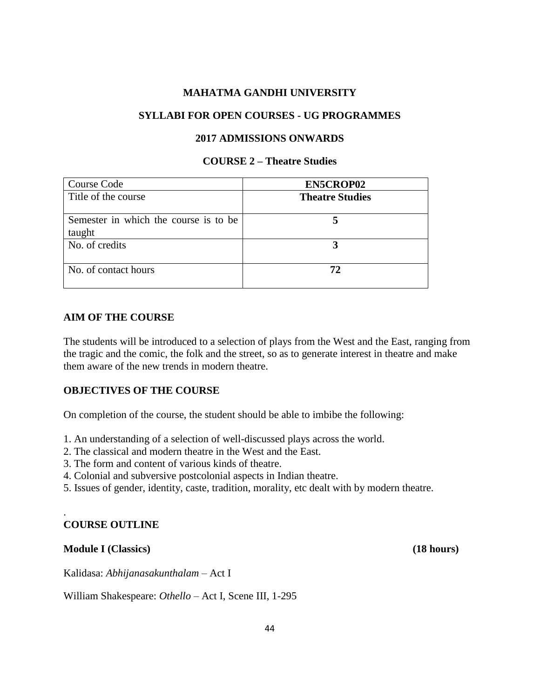### **SYLLABI FOR OPEN COURSES - UG PROGRAMMES**

#### **2017 ADMISSIONS ONWARDS**

# **COURSE 2 – Theatre Studies**

| Course Code                                     | <b>EN5CROP02</b>       |
|-------------------------------------------------|------------------------|
| Title of the course                             | <b>Theatre Studies</b> |
| Semester in which the course is to be<br>taught |                        |
| No. of credits                                  |                        |
| No. of contact hours                            |                        |

### **AIM OF THE COURSE**

The students will be introduced to a selection of plays from the West and the East, ranging from the tragic and the comic, the folk and the street, so as to generate interest in theatre and make them aware of the new trends in modern theatre.

# **OBJECTIVES OF THE COURSE**

On completion of the course, the student should be able to imbibe the following:

1. An understanding of a selection of well-discussed plays across the world.

- 2. The classical and modern theatre in the West and the East.
- 3. The form and content of various kinds of theatre.
- 4. Colonial and subversive postcolonial aspects in Indian theatre.

5. Issues of gender, identity, caste, tradition, morality, etc dealt with by modern theatre.

# **COURSE OUTLINE**

.

#### **Module I (Classics) (18 hours)**

Kalidasa: *Abhijanasakunthalam* – Act I

William Shakespeare: *Othello* – Act I, Scene III, 1-295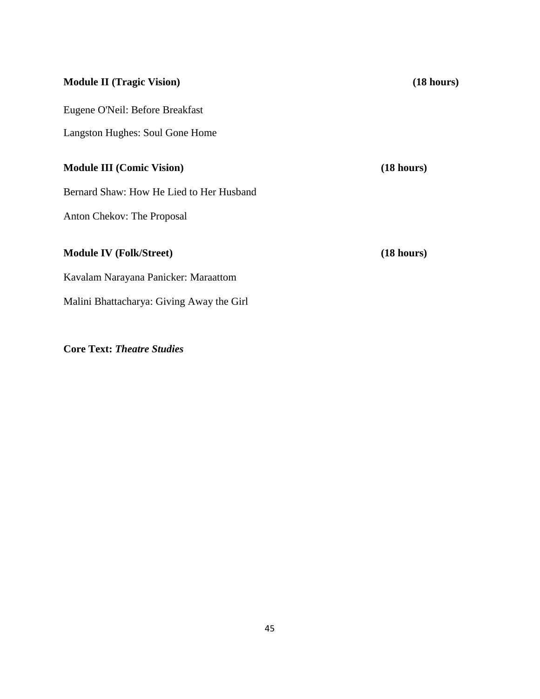| <b>Module II (Tragic Vision)</b>          | (18 hours) |
|-------------------------------------------|------------|
| Eugene O'Neil: Before Breakfast           |            |
| <b>Langston Hughes: Soul Gone Home</b>    |            |
| <b>Module III (Comic Vision)</b>          | (18 hours) |
| Bernard Shaw: How He Lied to Her Husband  |            |
| <b>Anton Chekov: The Proposal</b>         |            |
| <b>Module IV (Folk/Street)</b>            | (18 hours) |
| Kavalam Narayana Panicker: Maraattom      |            |
| Malini Bhattacharya: Giving Away the Girl |            |
|                                           |            |

**Core Text:** *Theatre Studies*

45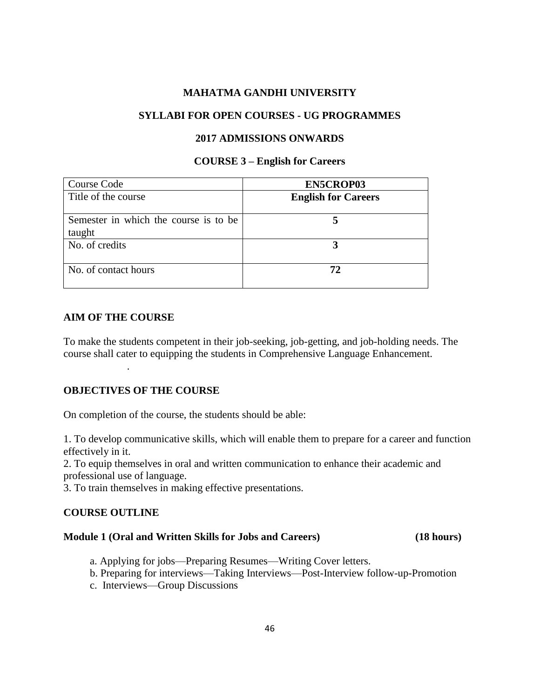### **SYLLABI FOR OPEN COURSES - UG PROGRAMMES**

#### **2017 ADMISSIONS ONWARDS**

#### **COURSE 3 – English for Careers**

| Course Code                                     | <b>EN5CROP03</b>           |
|-------------------------------------------------|----------------------------|
| Title of the course                             | <b>English for Careers</b> |
| Semester in which the course is to be<br>taught |                            |
| No. of credits                                  |                            |
| No. of contact hours                            | 72                         |

#### **AIM OF THE COURSE**

.

To make the students competent in their job-seeking, job-getting, and job-holding needs. The course shall cater to equipping the students in Comprehensive Language Enhancement.

# **OBJECTIVES OF THE COURSE**

On completion of the course, the students should be able:

1. To develop communicative skills, which will enable them to prepare for a career and function effectively in it.

2. To equip themselves in oral and written communication to enhance their academic and professional use of language.

3. To train themselves in making effective presentations.

# **COURSE OUTLINE**

#### **Module 1 (Oral and Written Skills for Jobs and Careers) (18 hours)**

- a. Applying for jobs—Preparing Resumes—Writing Cover letters.
- b. Preparing for interviews—Taking Interviews—Post-Interview follow-up-Promotion
- c. Interviews—Group Discussions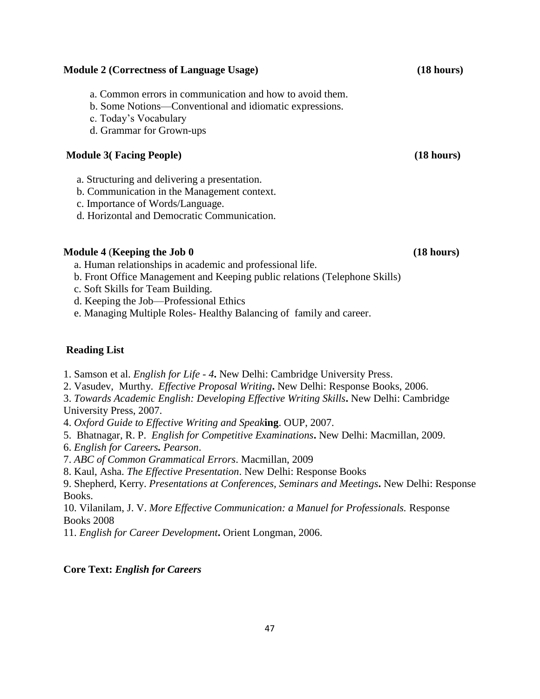# **Module 2 (Correctness of Language Usage) (18 hours)**

- a. Common errors in communication and how to avoid them.
- b. Some Notions—Conventional and idiomatic expressions.
- c. Today's Vocabulary
- d. Grammar for Grown-ups

# **Module 3( Facing People) (18 hours)**

- a. Structuring and delivering a presentation.
- b. Communication in the Management context.
- c. Importance of Words/Language.
- d. Horizontal and Democratic Communication.

# **Module 4** (**Keeping the Job 0 (18 hours)**

- a. Human relationships in academic and professional life.
- b. Front Office Management and Keeping public relations (Telephone Skills)
- c. Soft Skills for Team Building.
- d. Keeping the Job—Professional Ethics
- e. Managing Multiple Roles- Healthy Balancing of family and career.

# **Reading List**

- 1. Samson et al. *English for Life - 4***.** New Delhi: Cambridge University Press.
- 2. Vasudev, Murthy. *Effective Proposal Writing***.** New Delhi: Response Books, 2006.
- 3. *Towards Academic English: Developing Effective Writing Skills***.** New Delhi: Cambridge University Press, 2007.
- 4. *Oxford Guide to Effective Writing and Speak***ing**. OUP, 2007.
- 5. Bhatnagar, R. P. *English for Competitive Examinations***.** New Delhi: Macmillan, 2009.
- 6. *English for Careers. Pearson*.
- 7. *ABC of Common Grammatical Errors*. Macmillan, 2009
- 8. Kaul, Asha. *The Effective Presentation*. New Delhi: Response Books
- 9. Shepherd, Kerry. *Presentations at Conferences, Seminars and Meetings***.** New Delhi: Response Books.

10. Vilanilam, J. V. *More Effective Communication: a Manuel for Professionals.* Response Books 2008

11. *English for Career Development***.** Orient Longman, 2006.

# **Core Text:** *English for Careers*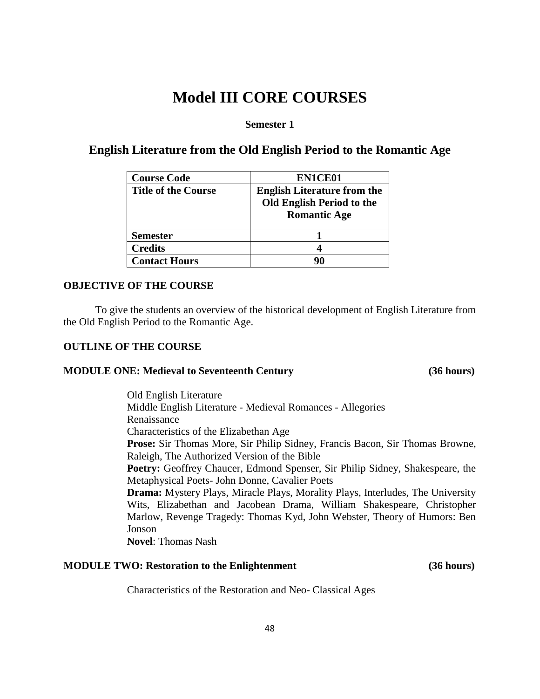# **Model III CORE COURSES**

# **Semester 1**

# **English Literature from the Old English Period to the Romantic Age**

| <b>Course Code</b>         | EN1CE01                                                                                       |
|----------------------------|-----------------------------------------------------------------------------------------------|
| <b>Title of the Course</b> | <b>English Literature from the</b><br><b>Old English Period to the</b><br><b>Romantic Age</b> |
| <b>Semester</b>            |                                                                                               |
| <b>Credits</b>             |                                                                                               |
| <b>Contact Hours</b>       |                                                                                               |

# **OBJECTIVE OF THE COURSE**

To give the students an overview of the historical development of English Literature from the Old English Period to the Romantic Age.

# **OUTLINE OF THE COURSE**

# **MODULE ONE: Medieval to Seventeenth Century (36 hours)**

Old English Literature Middle English Literature - Medieval Romances - Allegories Renaissance Characteristics of the Elizabethan Age **Prose:** Sir Thomas More, Sir Philip Sidney, Francis Bacon, Sir Thomas Browne, Raleigh, The Authorized Version of the Bible **Poetry:** Geoffrey Chaucer, Edmond Spenser, Sir Philip Sidney, Shakespeare, the Metaphysical Poets- John Donne, Cavalier Poets **Drama:** Mystery Plays, Miracle Plays, Morality Plays, Interludes, The University Wits, Elizabethan and Jacobean Drama, William Shakespeare, Christopher Marlow, Revenge Tragedy: Thomas Kyd, John Webster, Theory of Humors: Ben Jonson

**Novel**: Thomas Nash

# **MODULE TWO: Restoration to the Enlightenment (36 hours)**

Characteristics of the Restoration and Neo- Classical Ages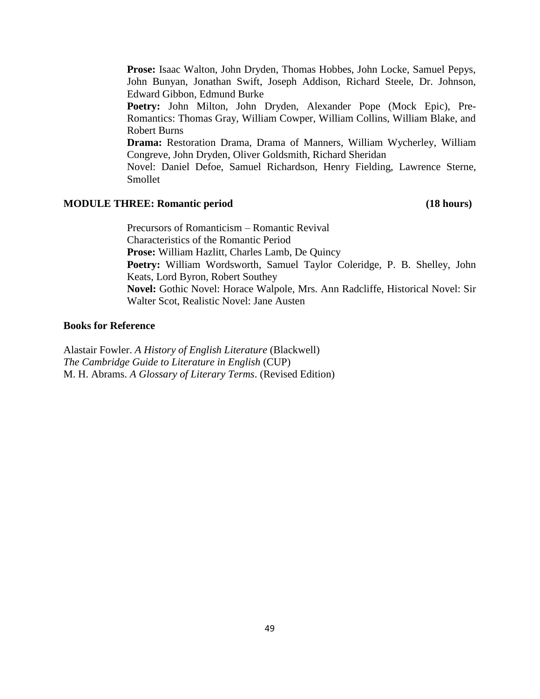**Prose:** Isaac Walton, John Dryden, Thomas Hobbes, John Locke, Samuel Pepys, John Bunyan, Jonathan Swift, Joseph Addison, Richard Steele, Dr. Johnson, Edward Gibbon, Edmund Burke

**Poetry:** John Milton, John Dryden, Alexander Pope (Mock Epic), Pre-Romantics: Thomas Gray, William Cowper, William Collins, William Blake, and Robert Burns

**Drama:** Restoration Drama, Drama of Manners, William Wycherley, William Congreve, John Dryden, Oliver Goldsmith, Richard Sheridan

Novel: Daniel Defoe, Samuel Richardson, Henry Fielding, Lawrence Sterne, Smollet

# **MODULE THREE: Romantic period (18 hours)**

Precursors of Romanticism – Romantic Revival Characteristics of the Romantic Period **Prose:** William Hazlitt, Charles Lamb, De Quincy **Poetry:** William Wordsworth, Samuel Taylor Coleridge, P. B. Shelley, John Keats, Lord Byron, Robert Southey **Novel:** Gothic Novel: Horace Walpole, Mrs. Ann Radcliffe, Historical Novel: Sir Walter Scot, Realistic Novel: Jane Austen

### **Books for Reference**

Alastair Fowler. *A History of English Literature* (Blackwell) *The Cambridge Guide to Literature in English* (CUP) M. H. Abrams. *A Glossary of Literary Terms*. (Revised Edition)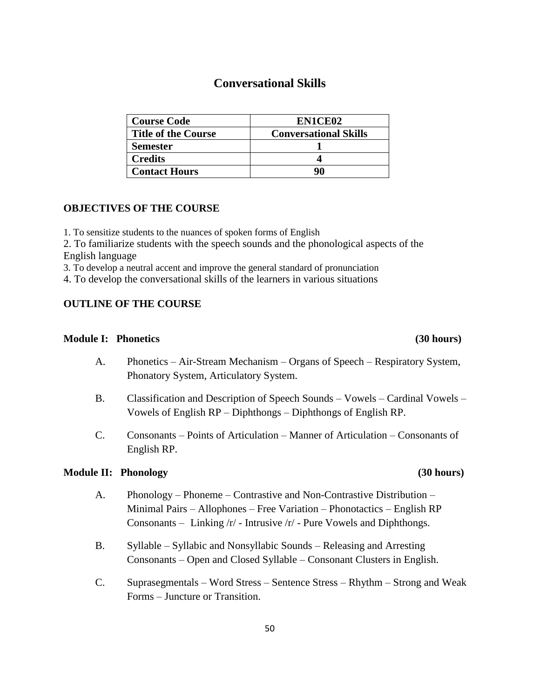# **Conversational Skills**

| <b>Course Code</b>         | EN1CE02                      |
|----------------------------|------------------------------|
| <b>Title of the Course</b> | <b>Conversational Skills</b> |
| <b>Semester</b>            |                              |
| <b>Credits</b>             |                              |
| <b>Contact Hours</b>       | 90                           |

### **OBJECTIVES OF THE COURSE**

1. To sensitize students to the nuances of spoken forms of English

2. To familiarize students with the speech sounds and the phonological aspects of the English language

3. To develop a neutral accent and improve the general standard of pronunciation

4. To develop the conversational skills of the learners in various situations

### **OUTLINE OF THE COURSE**

#### **Module I: Phonetics (30 hours)**

- A. Phonetics Air-Stream Mechanism Organs of Speech Respiratory System, Phonatory System, Articulatory System.
- B. Classification and Description of Speech Sounds Vowels Cardinal Vowels Vowels of English RP – Diphthongs – Diphthongs of English RP.
- C. Consonants Points of Articulation Manner of Articulation Consonants of English RP.

#### **Module II: Phonology (30 hours)**

- A. Phonology Phoneme Contrastive and Non-Contrastive Distribution Minimal Pairs – Allophones – Free Variation – Phonotactics – English RP Consonants – Linking /r/ - Intrusive /r/ - Pure Vowels and Diphthongs.
- B. Syllable Syllabic and Nonsyllabic Sounds Releasing and Arresting Consonants – Open and Closed Syllable – Consonant Clusters in English.
- C. Suprasegmentals Word Stress Sentence Stress Rhythm Strong and Weak Forms – Juncture or Transition.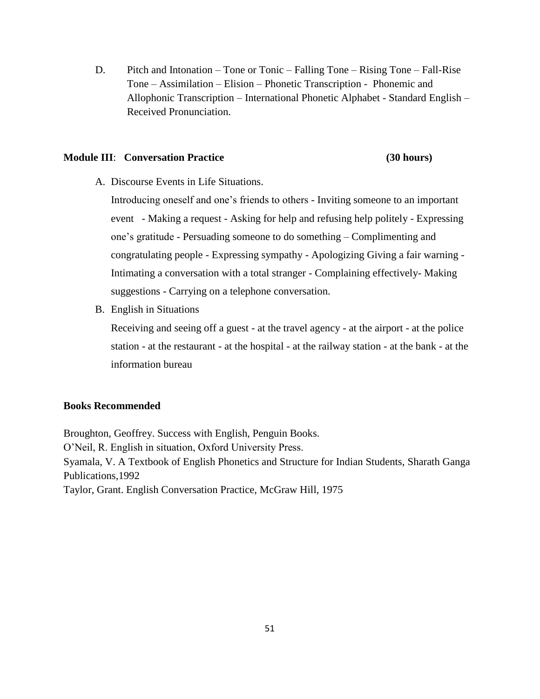D. Pitch and Intonation – Tone or Tonic – Falling Tone – Rising Tone – Fall-Rise Tone – Assimilation – Elision – Phonetic Transcription - Phonemic and Allophonic Transcription – International Phonetic Alphabet - Standard English – Received Pronunciation.

#### **Module III**: **Conversation Practice (30 hours)**

A. Discourse Events in Life Situations.

Introducing oneself and one's friends to others - Inviting someone to an important event - Making a request - Asking for help and refusing help politely - Expressing one's gratitude - Persuading someone to do something – Complimenting and congratulating people - Expressing sympathy - Apologizing Giving a fair warning - Intimating a conversation with a total stranger - Complaining effectively- Making suggestions - Carrying on a telephone conversation.

B. English in Situations

Receiving and seeing off a guest - at the travel agency - at the airport - at the police station - at the restaurant - at the hospital - at the railway station - at the bank - at the information bureau

#### **Books Recommended**

Broughton, Geoffrey. Success with English, Penguin Books. O'Neil, R. English in situation, Oxford University Press. Syamala, V. A Textbook of English Phonetics and Structure for Indian Students, Sharath Ganga Publications,1992 Taylor, Grant. English Conversation Practice, McGraw Hill, 1975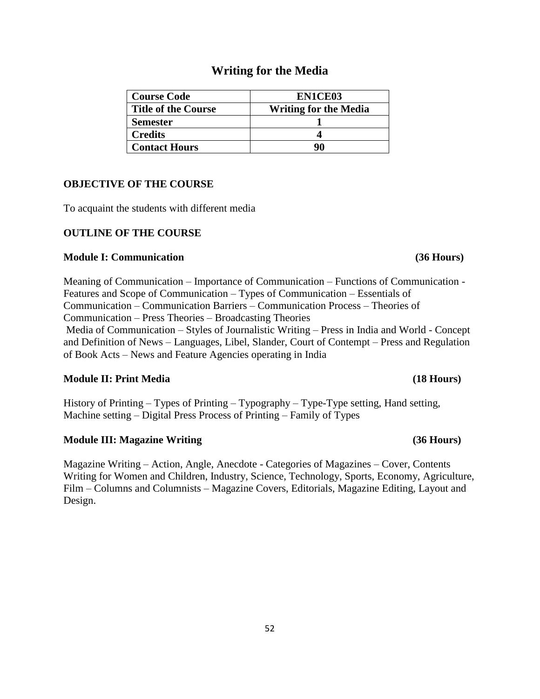# **Writing for the Media**

| <b>Course Code</b>         | EN1CE03                      |
|----------------------------|------------------------------|
| <b>Title of the Course</b> | <b>Writing for the Media</b> |
| <b>Semester</b>            |                              |
| <b>Credits</b>             |                              |
| <b>Contact Hours</b>       | Q٨                           |

# **OBJECTIVE OF THE COURSE**

To acquaint the students with different media

# **OUTLINE OF THE COURSE**

### **Module I: Communication (36 Hours)**

Meaning of Communication – Importance of Communication – Functions of Communication - Features and Scope of Communication – Types of Communication – Essentials of Communication – Communication Barriers – Communication Process – Theories of Communication – Press Theories – Broadcasting Theories

Media of Communication – Styles of Journalistic Writing – Press in India and World - Concept and Definition of News – Languages, Libel, Slander, Court of Contempt – Press and Regulation of Book Acts – News and Feature Agencies operating in India

# **Module II: Print Media (18 Hours)**

History of Printing – Types of Printing – Typography – Type-Type setting, Hand setting, Machine setting – Digital Press Process of Printing – Family of Types

# **Module III: Magazine Writing (36 Hours)**

Magazine Writing – Action, Angle, Anecdote - Categories of Magazines – Cover, Contents Writing for Women and Children, Industry, Science, Technology, Sports, Economy, Agriculture, Film – Columns and Columnists – Magazine Covers, Editorials, Magazine Editing, Layout and Design.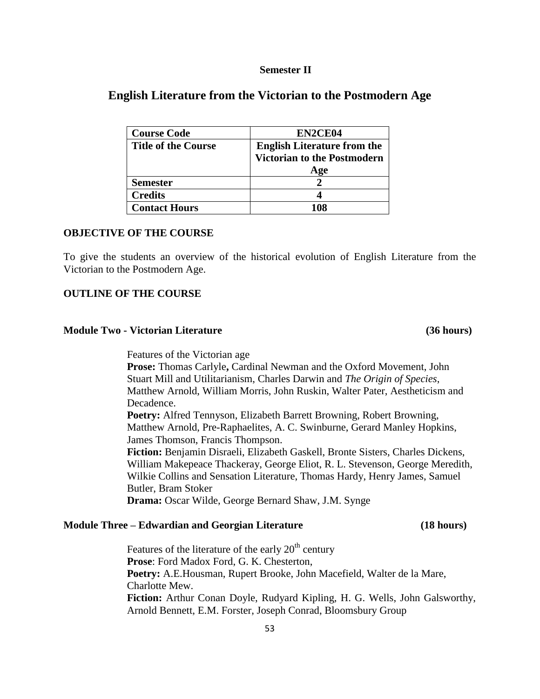#### **Semester II**

# **English Literature from the Victorian to the Postmodern Age**

| <b>Course Code</b>         | EN2CE04                            |
|----------------------------|------------------------------------|
| <b>Title of the Course</b> | <b>English Literature from the</b> |
|                            | <b>Victorian to the Postmodern</b> |
|                            | Age                                |
| <b>Semester</b>            |                                    |
| <b>Credits</b>             |                                    |
| <b>Contact Hours</b>       |                                    |

### **OBJECTIVE OF THE COURSE**

To give the students an overview of the historical evolution of English Literature from the Victorian to the Postmodern Age.

#### **OUTLINE OF THE COURSE**

### **Module Two - Victorian Literature (36 hours)**

Features of the Victorian age **Prose:** Thomas Carlyle**,** Cardinal Newman and the Oxford Movement, John Stuart Mill and Utilitarianism, Charles Darwin and *The Origin of Species*, Matthew Arnold, William Morris, John Ruskin, Walter Pater, Aestheticism and Decadence. **Poetry:** Alfred Tennyson, Elizabeth Barrett Browning, Robert Browning, Matthew Arnold, Pre-Raphaelites, A. C. Swinburne, Gerard Manley Hopkins, James Thomson, Francis Thompson. **Fiction:** Benjamin Disraeli, Elizabeth Gaskell, Bronte Sisters, Charles Dickens, William Makepeace Thackeray, George Eliot, R. L. Stevenson, George Meredith, Wilkie Collins and Sensation Literature, Thomas Hardy, Henry James, Samuel Butler, Bram Stoker **Drama:** Oscar Wilde, George Bernard Shaw, J.M. Synge

#### **Module Three – Edwardian and Georgian Literature (18 hours)**

Features of the literature of the early  $20<sup>th</sup>$  century **Prose**: Ford Madox Ford, G. K. Chesterton, **Poetry:** A.E.Housman, Rupert Brooke, John Macefield, Walter de la Mare, Charlotte Mew. **Fiction:** Arthur Conan Doyle, Rudyard Kipling, H. G. Wells, John Galsworthy, Arnold Bennett, E.M. Forster, Joseph Conrad, Bloomsbury Group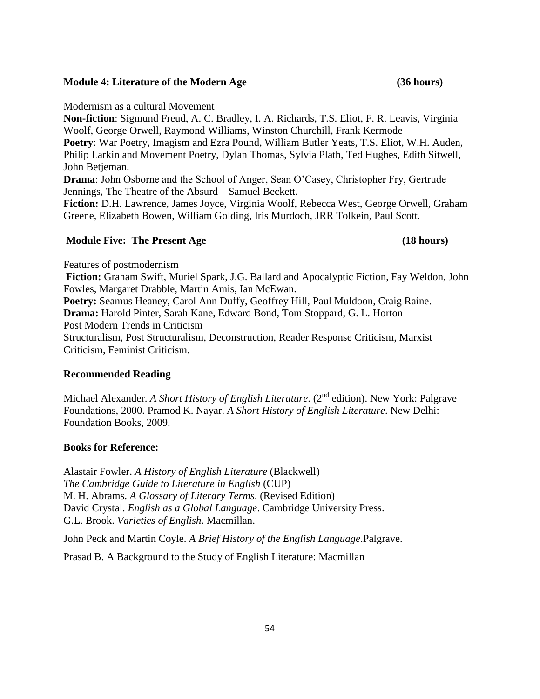#### Philip Larkin and Movement Poetry, Dylan Thomas, Sylvia Plath, Ted Hughes, Edith Sitwell, John Betjeman.

**Drama**: John Osborne and the School of Anger, Sean O'Casey, Christopher Fry, Gertrude Jennings, The Theatre of the Absurd – Samuel Beckett.

**Non-fiction**: Sigmund Freud, A. C. Bradley, I. A. Richards, T.S. Eliot, F. R. Leavis, Virginia

**Poetry**: War Poetry, Imagism and Ezra Pound, William Butler Yeats, T.S. Eliot, W.H. Auden,

Woolf, George Orwell, Raymond Williams, Winston Churchill, Frank Kermode

**Fiction:** D.H. Lawrence, James Joyce, Virginia Woolf, Rebecca West, George Orwell, Graham Greene, Elizabeth Bowen, William Golding, Iris Murdoch, JRR Tolkein, Paul Scott.

#### **Module Five: The Present Age (18 hours)**

Modernism as a cultural Movement

# Features of postmodernism

**Fiction:** Graham Swift, Muriel Spark, J.G. Ballard and Apocalyptic Fiction, Fay Weldon, John Fowles, Margaret Drabble, Martin Amis, Ian McEwan. **Poetry:** Seamus Heaney, Carol Ann Duffy, Geoffrey Hill, Paul Muldoon, Craig Raine. **Drama:** Harold Pinter, Sarah Kane, Edward Bond, Tom Stoppard, G. L. Horton Post Modern Trends in Criticism Structuralism, Post Structuralism, Deconstruction, Reader Response Criticism, Marxist

Criticism, Feminist Criticism.

# **Recommended Reading**

Michael Alexander. *A Short History of English Literature*. (2<sup>nd</sup> edition). New York: Palgrave Foundations, 2000. Pramod K. Nayar. *A Short History of English Literature*. New Delhi: Foundation Books, 2009.

# **Books for Reference:**

Alastair Fowler. *A History of English Literature* (Blackwell) *The Cambridge Guide to Literature in English* (CUP) M. H. Abrams. *A Glossary of Literary Terms*. (Revised Edition) David Crystal. *English as a Global Language*. Cambridge University Press. G.L. Brook. *Varieties of English*. Macmillan.

John Peck and Martin Coyle. *A Brief History of the English Language*.Palgrave.

Prasad B. A Background to the Study of English Literature: Macmillan

#### **Module 4: Literature of the Modern Age (36 hours)**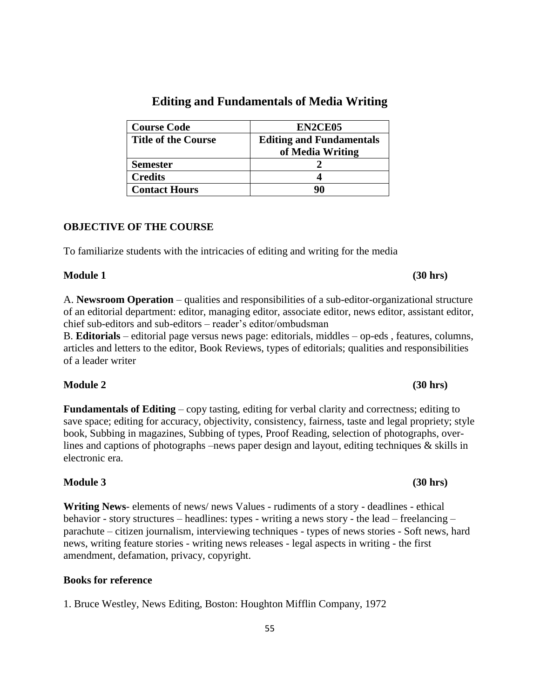| <b>Course Code</b>         | EN2CE05                         |
|----------------------------|---------------------------------|
| <b>Title of the Course</b> | <b>Editing and Fundamentals</b> |
|                            | of Media Writing                |
| <b>Semester</b>            |                                 |
| <b>Credits</b>             |                                 |
| <b>Contact Hours</b>       | 90                              |

# **Editing and Fundamentals of Media Writing**

### **OBJECTIVE OF THE COURSE**

To familiarize students with the intricacies of editing and writing for the media

### **Module 1** (30 hrs)

A. **Newsroom Operation** – qualities and responsibilities of a sub-editor-organizational structure of an editorial department: editor, managing editor, associate editor, news editor, assistant editor, chief sub-editors and sub-editors – reader's editor/ombudsman

B. **Editorials** – editorial page versus news page: editorials, middles – op-eds , features, columns, articles and letters to the editor, Book Reviews, types of editorials; qualities and responsibilities of a leader writer

# **Module 2** (30 hrs)

**Fundamentals of Editing** – copy tasting, editing for verbal clarity and correctness; editing to save space; editing for accuracy, objectivity, consistency, fairness, taste and legal propriety; style book, Subbing in magazines, Subbing of types, Proof Reading, selection of photographs, overlines and captions of photographs –news paper design and layout, editing techniques & skills in electronic era.

# **Module 3** (30 hrs)

**Writing News**- elements of news/ news Values - rudiments of a story - deadlines - ethical behavior - story structures – headlines: types - writing a news story - the lead – freelancing – parachute – citizen journalism, interviewing techniques - types of news stories - Soft news, hard news, writing feature stories - writing news releases - legal aspects in writing - the first amendment, defamation, privacy, copyright.

#### **Books for reference**

1. Bruce Westley, News Editing, Boston: Houghton Mifflin Company, 1972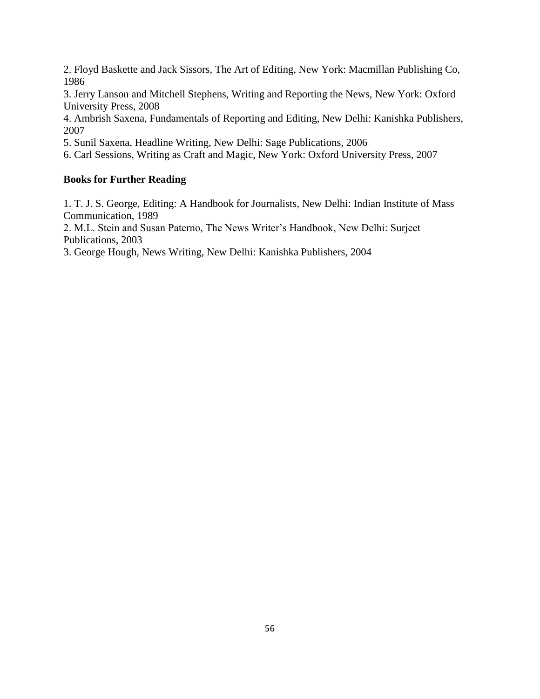2. Floyd Baskette and Jack Sissors, The Art of Editing, New York: Macmillan Publishing Co, 1986

3. Jerry Lanson and Mitchell Stephens, Writing and Reporting the News, New York: Oxford University Press, 2008

4. Ambrish Saxena, Fundamentals of Reporting and Editing, New Delhi: Kanishka Publishers, 2007

5. Sunil Saxena, Headline Writing, New Delhi: Sage Publications, 2006

6. Carl Sessions, Writing as Craft and Magic, New York: Oxford University Press, 2007

# **Books for Further Reading**

1. T. J. S. George, Editing: A Handbook for Journalists, New Delhi: Indian Institute of Mass Communication, 1989

2. M.L. Stein and Susan Paterno, The News Writer's Handbook, New Delhi: Surjeet Publications, 2003

3. George Hough, News Writing, New Delhi: Kanishka Publishers, 2004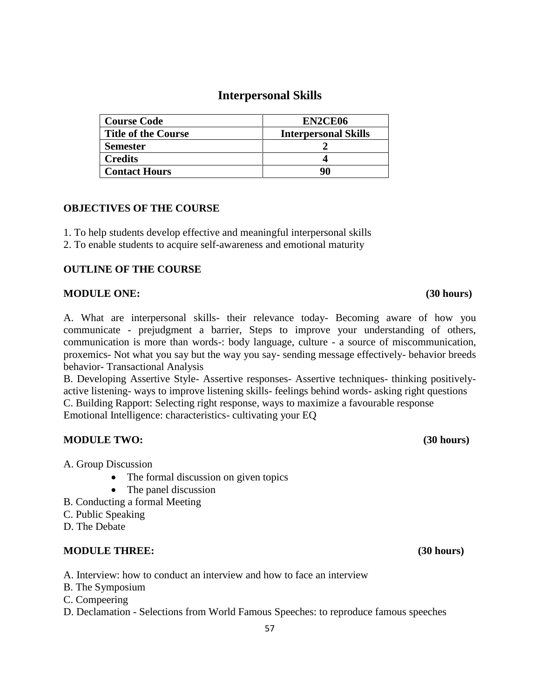# **Interpersonal Skills**

| <b>Course Code</b>         | EN2CE06                     |
|----------------------------|-----------------------------|
| <b>Title of the Course</b> | <b>Interpersonal Skills</b> |
| <b>Semester</b>            |                             |
| <b>Credits</b>             |                             |
| <b>Contact Hours</b>       | 90                          |

# **OBJECTIVES OF THE COURSE**

- 1. To help students develop effective and meaningful interpersonal skills
- 2. To enable students to acquire self-awareness and emotional maturity

# **OUTLINE OF THE COURSE**

### **MODULE ONE: (30 hours)**

A. What are interpersonal skills- their relevance today- Becoming aware of how you communicate - prejudgment a barrier, Steps to improve your understanding of others, communication is more than words-: body language, culture - a source of miscommunication, proxemics- Not what you say but the way you say- sending message effectively- behavior breeds behavior- Transactional Analysis

B. Developing Assertive Style- Assertive responses- Assertive techniques- thinking positivelyactive listening- ways to improve listening skills- feelings behind words- asking right questions C. Building Rapport: Selecting right response, ways to maximize a favourable response Emotional Intelligence: characteristics- cultivating your EQ

# **MODULE TWO: (30 hours)**

A. Group Discussion

- The formal discussion on given topics
- The panel discussion
- B. Conducting a formal Meeting
- C. Public Speaking
- D. The Debate

# **MODULE THREE: (30 hours)**

A. Interview: how to conduct an interview and how to face an interview

- B. The Symposium
- C. Compeering
- D. Declamation Selections from World Famous Speeches: to reproduce famous speeches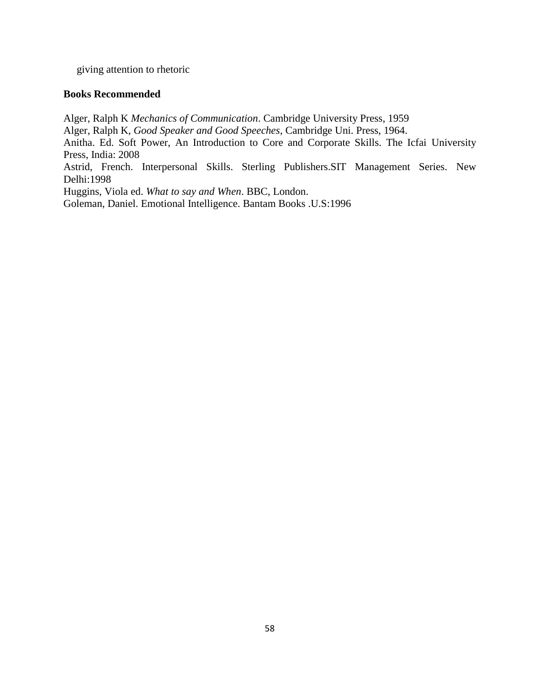giving attention to rhetoric

#### **Books Recommended**

Alger, Ralph K *Mechanics of Communication*. Cambridge University Press, 1959

Alger, Ralph K, *Good Speaker and Good Speeches*, Cambridge Uni. Press, 1964.

Anitha. Ed. Soft Power, An Introduction to Core and Corporate Skills. The Icfai University Press, India: 2008

Astrid, French. Interpersonal Skills. Sterling Publishers.SIT Management Series. New Delhi:1998

Huggins, Viola ed. *What to say and When*. BBC, London.

Goleman, Daniel. Emotional Intelligence. Bantam Books .U.S:1996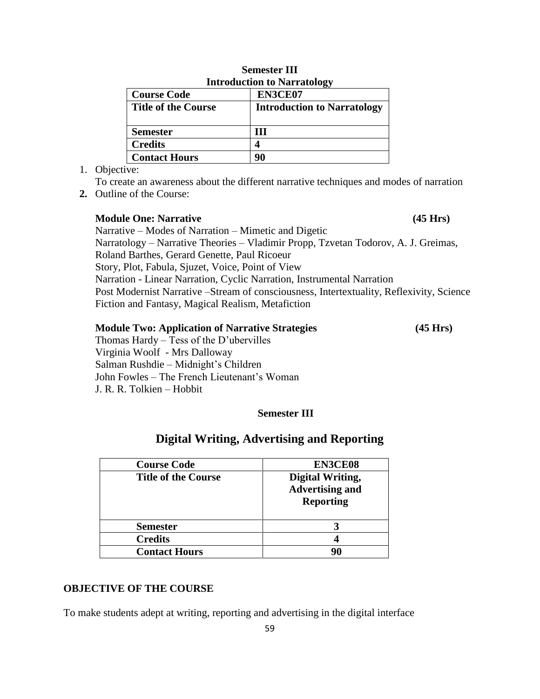| THE OURCHON TO MALL ARRIVE |                                    |  |
|----------------------------|------------------------------------|--|
| <b>Course Code</b>         | EN3CE07                            |  |
| <b>Title of the Course</b> | <b>Introduction to Narratology</b> |  |
|                            |                                    |  |
| <b>Semester</b>            | ш                                  |  |
| <b>Credits</b>             |                                    |  |
| <b>Contact Hours</b>       |                                    |  |

# **Semester III Introduction to Narratology**

1. Objective:

To create an awareness about the different narrative techniques and modes of narration

**2.** Outline of the Course:

# **Module One: Narrative (45 Hrs)** (45 Hrs)

Narrative – Modes of Narration – Mimetic and Digetic Narratology – Narrative Theories – Vladimir Propp, Tzvetan Todorov, A. J. Greimas,

Roland Barthes, Gerard Genette, Paul Ricoeur

Story, Plot, Fabula, Sjuzet, Voice, Point of View

Narration - Linear Narration, Cyclic Narration, Instrumental Narration

Post Modernist Narrative –Stream of consciousness, Intertextuality, Reflexivity, Science Fiction and Fantasy, Magical Realism, Metafiction

### **Module Two: Application of Narrative Strategies (45 Hrs)**

Thomas Hardy – Tess of the D'ubervilles Virginia Woolf - Mrs Dalloway Salman Rushdie – Midnight's Children John Fowles – The French Lieutenant's Woman J. R. R. Tolkien – Hobbit

# **Semester III**

# **Digital Writing, Advertising and Reporting**

| <b>Course Code</b>         | <b>EN3CE08</b>                                                        |
|----------------------------|-----------------------------------------------------------------------|
| <b>Title of the Course</b> | <b>Digital Writing,</b><br><b>Advertising and</b><br><b>Reporting</b> |
| <b>Semester</b>            |                                                                       |
| <b>Credits</b>             |                                                                       |
| <b>Contact Hours</b>       |                                                                       |

# **OBJECTIVE OF THE COURSE**

To make students adept at writing, reporting and advertising in the digital interface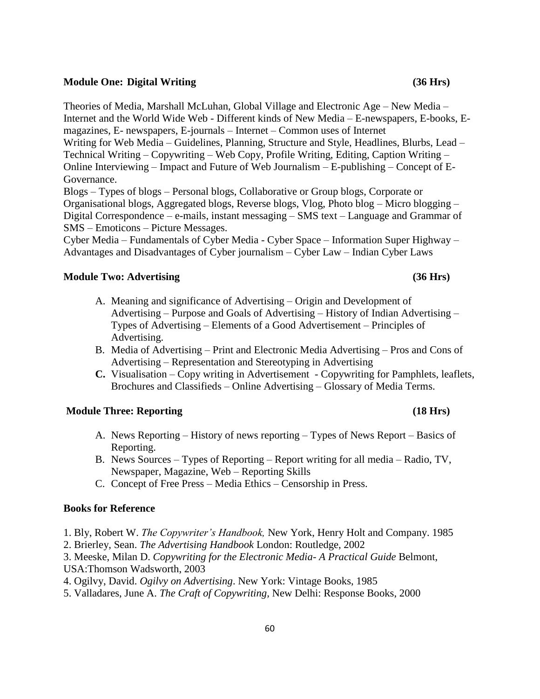#### **Module One: Digital Writing (36 Hrs)**

Theories of Media, Marshall McLuhan, Global Village and Electronic Age – New Media – Internet and the World Wide Web - Different kinds of New Media – E-newspapers, E-books, Emagazines, E- newspapers, E-journals – Internet – Common uses of Internet

Writing for Web Media – Guidelines, Planning, Structure and Style, Headlines, Blurbs, Lead – Technical Writing – Copywriting – Web Copy, Profile Writing, Editing, Caption Writing – Online Interviewing – Impact and Future of Web Journalism – E-publishing – Concept of E-Governance.

Blogs – Types of blogs – Personal blogs, Collaborative or Group blogs, Corporate or Organisational blogs, Aggregated blogs, Reverse blogs, Vlog, Photo blog – Micro blogging – Digital Correspondence – e-mails, instant messaging – SMS text – Language and Grammar of SMS – Emoticons – Picture Messages.

Cyber Media – Fundamentals of Cyber Media - Cyber Space – Information Super Highway – Advantages and Disadvantages of Cyber journalism – Cyber Law – Indian Cyber Laws

#### **Module Two: Advertising (36 Hrs)**

- A. Meaning and significance of Advertising Origin and Development of Advertising – Purpose and Goals of Advertising – History of Indian Advertising – Types of Advertising – Elements of a Good Advertisement – Principles of Advertising.
- B. Media of Advertising Print and Electronic Media Advertising Pros and Cons of Advertising – Representation and Stereotyping in Advertising
- **C.** Visualisation Copy writing in Advertisement Copywriting for Pamphlets, leaflets, Brochures and Classifieds – Online Advertising – Glossary of Media Terms.

### **Module Three: Reporting (18 Hrs)**

- A. News Reporting History of news reporting Types of News Report Basics of Reporting.
- B. News Sources Types of Reporting Report writing for all media Radio, TV, Newspaper, Magazine, Web – Reporting Skills
- C. Concept of Free Press Media Ethics Censorship in Press.

#### **Books for Reference**

- 1. Bly, Robert W. *The Copywriter's Handbook,* New York, Henry Holt and Company. 1985
- 2. Brierley, Sean. *The Advertising Handbook* London: Routledge, 2002

3. Meeske, Milan D. *Copywriting for the Electronic Media- A Practical Guide* Belmont, USA:Thomson Wadsworth, 2003

- 4. Ogilvy, David. *Ogilvy on Advertising*. New York: Vintage Books, 1985
- 5. Valladares, June A. *The Craft of Copywriting,* New Delhi: Response Books, 2000

#### 60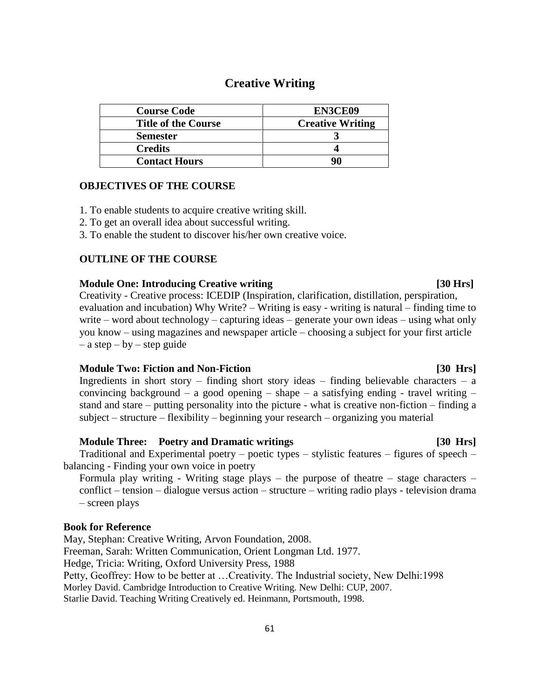# **Creative Writing**

| <b>Course Code</b>         | EN3CE09                 |
|----------------------------|-------------------------|
| <b>Title of the Course</b> | <b>Creative Writing</b> |
| <b>Semester</b>            |                         |
| <b>Credits</b>             |                         |
| <b>Contact Hours</b>       |                         |

### **OBJECTIVES OF THE COURSE**

1. To enable students to acquire creative writing skill.

- 2. To get an overall idea about successful writing.
- 3. To enable the student to discover his/her own creative voice.

#### **OUTLINE OF THE COURSE**

#### **Module One: Introducing Creative writing [30 Hrs]**

Creativity - Creative process: ICEDIP (Inspiration, clarification, distillation, perspiration, evaluation and incubation) Why Write? – Writing is easy - writing is natural – finding time to write – word about technology – capturing ideas – generate your own ideas – using what only you know – using magazines and newspaper article – choosing a subject for your first article  $-$  a step  $-$  by  $-$  step guide

#### **Module Two: Fiction and Non-Fiction compared to the Contract Contract Contract Contract Contract Contract Contract Contract Contract Contract Contract Contract Contract Contract Contract Contract Contract Contract Contrac**

Ingredients in short story – finding short story ideas – finding believable characters – a convincing background – a good opening – shape – a satisfying ending - travel writing – stand and stare – putting personality into the picture - what is creative non-fiction – finding a subject – structure – flexibility – beginning your research – organizing you material

#### **Module Three: Poetry and Dramatic writings [30 Hrs]**

 Traditional and Experimental poetry – poetic types – stylistic features – figures of speech – balancing - Finding your own voice in poetry

Formula play writing - Writing stage plays – the purpose of theatre – stage characters – conflict – tension – dialogue versus action – structure – writing radio plays - television drama – screen plays

#### **Book for Reference**

May, Stephan: Creative Writing, Arvon Foundation, 2008. Freeman, Sarah: Written Communication, Orient Longman Ltd. 1977. Hedge, Tricia: Writing, Oxford University Press, 1988 Petty, Geoffrey: How to be better at …Creativity. The Industrial society, New Delhi:1998 Morley David. Cambridge Introduction to Creative Writing. New Delhi: CUP, 2007. Starlie David. Teaching Writing Creatively ed. Heinmann, Portsmouth, 1998.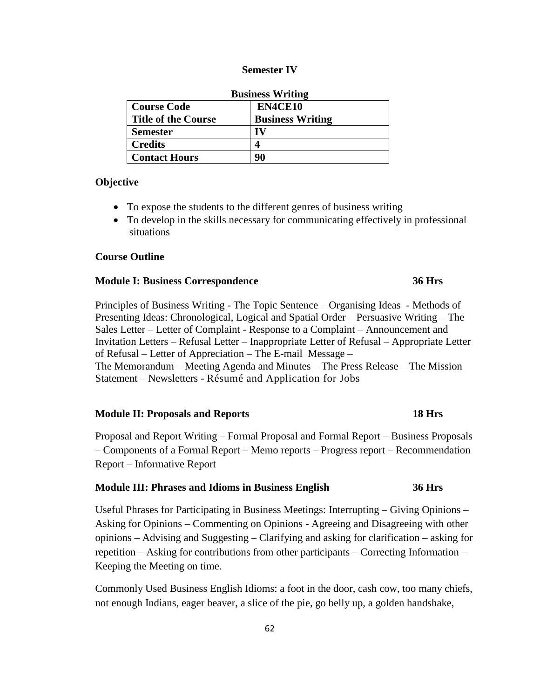#### **Semester IV**

| <b>Business Writing</b>    |                         |  |
|----------------------------|-------------------------|--|
| <b>Course Code</b>         | EN4CE10                 |  |
| <b>Title of the Course</b> | <b>Business Writing</b> |  |
| <b>Semester</b>            | IV                      |  |
| <b>Credits</b>             |                         |  |
| <b>Contact Hours</b>       | 90                      |  |

#### **Objective**

- To expose the students to the different genres of business writing
- To develop in the skills necessary for communicating effectively in professional situations

#### **Course Outline**

#### **Module I: Business Correspondence 36 Hrs**

Principles of Business Writing - The Topic Sentence – Organising Ideas - Methods of Presenting Ideas: Chronological, Logical and Spatial Order – Persuasive Writing – The Sales Letter – Letter of Complaint - Response to a Complaint – Announcement and Invitation Letters – Refusal Letter – Inappropriate Letter of Refusal – Appropriate Letter of Refusal – Letter of Appreciation – The E-mail Message – The Memorandum – Meeting Agenda and Minutes – The Press Release – The Mission Statement – Newsletters - Résumé and Application for Jobs

#### **Module II: Proposals and Reports 18 Hrs**

Proposal and Report Writing – Formal Proposal and Formal Report – Business Proposals – Components of a Formal Report – Memo reports – Progress report – Recommendation Report – Informative Report

#### **Module III: Phrases and Idioms in Business English 36 Hrs**

Useful Phrases for Participating in Business Meetings: Interrupting – Giving Opinions – Asking for Opinions – Commenting on Opinions - Agreeing and Disagreeing with other opinions – Advising and Suggesting – Clarifying and asking for clarification – asking for repetition – Asking for contributions from other participants – Correcting Information – Keeping the Meeting on time.

Commonly Used Business English Idioms: a foot in the door, cash cow, too many chiefs, not enough Indians, eager beaver, a slice of the pie, go belly up, a golden handshake,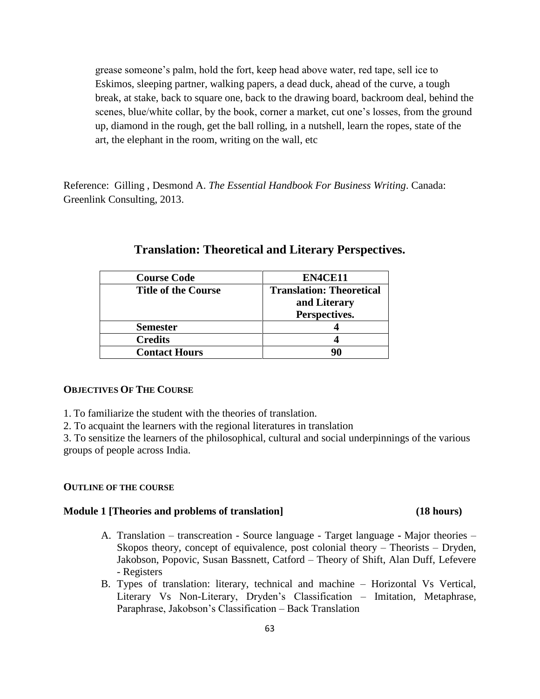grease someone's palm, hold the fort, keep head above water, red tape, sell ice to Eskimos, sleeping partner, walking papers, a dead duck, ahead of the curve, a tough break, at stake, back to square one, back to the drawing board, backroom deal, behind the scenes, blue/white collar, by the book, corner a market, cut one's losses, from the ground up, diamond in the rough, get the ball rolling, in a nutshell, learn the ropes, state of the art, the elephant in the room, writing on the wall, etc

Reference: Gilling , Desmond A. *The Essential Handbook For Business Writing*. Canada: Greenlink Consulting, 2013.

| <b>Course Code</b>         | EN4CE11                         |
|----------------------------|---------------------------------|
| <b>Title of the Course</b> | <b>Translation: Theoretical</b> |
|                            | and Literary                    |
|                            | Perspectives.                   |
| <b>Semester</b>            |                                 |
| <b>Credits</b>             |                                 |
| <b>Contact Hours</b>       | 90                              |

# **Translation: Theoretical and Literary Perspectives.**

#### **OBJECTIVES OF THE COURSE**

1. To familiarize the student with the theories of translation.

2. To acquaint the learners with the regional literatures in translation

3. To sensitize the learners of the philosophical, cultural and social underpinnings of the various groups of people across India.

#### **OUTLINE OF THE COURSE**

#### **Module 1 [Theories and problems of translation] (18 hours)**

- A. Translation transcreation Source language Target language **-** Major theories Skopos theory, concept of equivalence, post colonial theory – Theorists – Dryden, Jakobson, Popovic, Susan Bassnett, Catford – Theory of Shift, Alan Duff, Lefevere - Registers
- B. Types of translation: literary, technical and machine Horizontal Vs Vertical, Literary Vs Non-Literary, Dryden's Classification – Imitation, Metaphrase, Paraphrase, Jakobson's Classification – Back Translation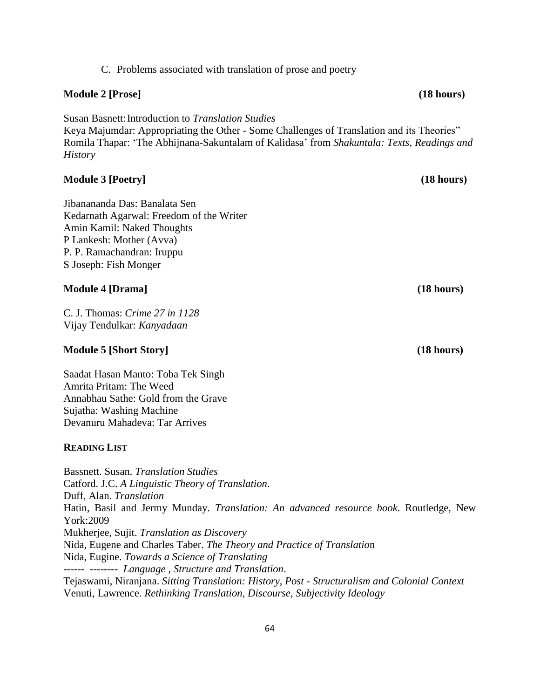Jibanananda Das: Banalata Sen Kedarnath Agarwal: Freedom of the Writer Amin Kamil: Naked Thoughts P Lankesh: Mother (Avva) P. P. Ramachandran: Iruppu S Joseph: Fish Monger

### **Module 4 [Drama] (18 hours)**

C. J. Thomas: *Crime 27 in 1128* Vijay Tendulkar: *Kanyadaan*

### **Module 5 [Short Story] (18 hours)**

Saadat Hasan Manto: Toba Tek Singh Amrita Pritam: The Weed Annabhau Sathe: Gold from the Grave Sujatha: Washing Machine Devanuru Mahadeva: Tar Arrives

#### **READING LIST**

Bassnett. Susan. *Translation Studies* Catford. J.C. *A Linguistic Theory of Translation*. Duff, Alan. *Translation* Hatin, Basil and Jermy Munday. *Translation: An advanced resource book*. Routledge, New York:2009 Mukherjee, Sujit. *Translation as Discovery* Nida, Eugene and Charles Taber. *The Theory and Practice of Translatio*n Nida, Eugine. *Towards a Science of Translating* ------ -------- *Language , Structure and Translation*. Tejaswami, Niranjana. *Sitting Translation: History, Post - Structuralism and Colonial Context*  Venuti, Lawrence. *Rethinking Translation, Discourse, Subjectivity Ideology* 

# **Module 2 [Prose] (18 hours)**

Susan Basnett:Introduction to *Translation Studies* Keya Majumdar: Appropriating the Other - Some Challenges of Translation and its Theories" Romila Thapar: ‗The Abhijnana-Sakuntalam of Kalidasa' from *Shakuntala: Texts, Readings and History*

### **Module 3 [Poetry] (18 hours)**